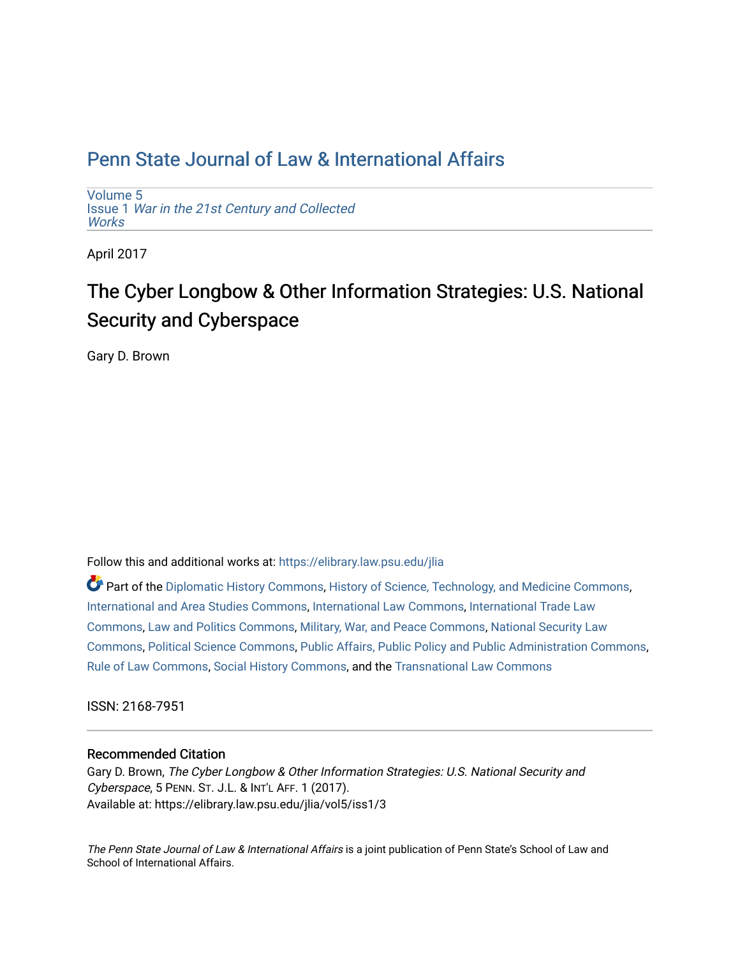## [Penn State Journal of Law & International Affairs](https://elibrary.law.psu.edu/jlia)

[Volume 5](https://elibrary.law.psu.edu/jlia/vol5) Issue 1 [War in the 21st Century and Collected](https://elibrary.law.psu.edu/jlia/vol5/iss1) **Works** 

April 2017

# The Cyber Longbow & Other Information Strategies: U.S. National Security and Cyberspace

Gary D. Brown

Follow this and additional works at: [https://elibrary.law.psu.edu/jlia](https://elibrary.law.psu.edu/jlia?utm_source=elibrary.law.psu.edu%2Fjlia%2Fvol5%2Fiss1%2F3&utm_medium=PDF&utm_campaign=PDFCoverPages) 

Part of the [Diplomatic History Commons,](http://network.bepress.com/hgg/discipline/497?utm_source=elibrary.law.psu.edu%2Fjlia%2Fvol5%2Fiss1%2F3&utm_medium=PDF&utm_campaign=PDFCoverPages) [History of Science, Technology, and Medicine Commons](http://network.bepress.com/hgg/discipline/500?utm_source=elibrary.law.psu.edu%2Fjlia%2Fvol5%2Fiss1%2F3&utm_medium=PDF&utm_campaign=PDFCoverPages), [International and Area Studies Commons](http://network.bepress.com/hgg/discipline/360?utm_source=elibrary.law.psu.edu%2Fjlia%2Fvol5%2Fiss1%2F3&utm_medium=PDF&utm_campaign=PDFCoverPages), [International Law Commons](http://network.bepress.com/hgg/discipline/609?utm_source=elibrary.law.psu.edu%2Fjlia%2Fvol5%2Fiss1%2F3&utm_medium=PDF&utm_campaign=PDFCoverPages), [International Trade Law](http://network.bepress.com/hgg/discipline/848?utm_source=elibrary.law.psu.edu%2Fjlia%2Fvol5%2Fiss1%2F3&utm_medium=PDF&utm_campaign=PDFCoverPages)  [Commons](http://network.bepress.com/hgg/discipline/848?utm_source=elibrary.law.psu.edu%2Fjlia%2Fvol5%2Fiss1%2F3&utm_medium=PDF&utm_campaign=PDFCoverPages), [Law and Politics Commons,](http://network.bepress.com/hgg/discipline/867?utm_source=elibrary.law.psu.edu%2Fjlia%2Fvol5%2Fiss1%2F3&utm_medium=PDF&utm_campaign=PDFCoverPages) [Military, War, and Peace Commons,](http://network.bepress.com/hgg/discipline/861?utm_source=elibrary.law.psu.edu%2Fjlia%2Fvol5%2Fiss1%2F3&utm_medium=PDF&utm_campaign=PDFCoverPages) [National Security Law](http://network.bepress.com/hgg/discipline/1114?utm_source=elibrary.law.psu.edu%2Fjlia%2Fvol5%2Fiss1%2F3&utm_medium=PDF&utm_campaign=PDFCoverPages)  [Commons](http://network.bepress.com/hgg/discipline/1114?utm_source=elibrary.law.psu.edu%2Fjlia%2Fvol5%2Fiss1%2F3&utm_medium=PDF&utm_campaign=PDFCoverPages), [Political Science Commons](http://network.bepress.com/hgg/discipline/386?utm_source=elibrary.law.psu.edu%2Fjlia%2Fvol5%2Fiss1%2F3&utm_medium=PDF&utm_campaign=PDFCoverPages), [Public Affairs, Public Policy and Public Administration Commons](http://network.bepress.com/hgg/discipline/393?utm_source=elibrary.law.psu.edu%2Fjlia%2Fvol5%2Fiss1%2F3&utm_medium=PDF&utm_campaign=PDFCoverPages), [Rule of Law Commons](http://network.bepress.com/hgg/discipline/1122?utm_source=elibrary.law.psu.edu%2Fjlia%2Fvol5%2Fiss1%2F3&utm_medium=PDF&utm_campaign=PDFCoverPages), [Social History Commons,](http://network.bepress.com/hgg/discipline/506?utm_source=elibrary.law.psu.edu%2Fjlia%2Fvol5%2Fiss1%2F3&utm_medium=PDF&utm_campaign=PDFCoverPages) and the [Transnational Law Commons](http://network.bepress.com/hgg/discipline/1123?utm_source=elibrary.law.psu.edu%2Fjlia%2Fvol5%2Fiss1%2F3&utm_medium=PDF&utm_campaign=PDFCoverPages) 

ISSN: 2168-7951

#### Recommended Citation

Gary D. Brown, The Cyber Longbow & Other Information Strategies: U.S. National Security and Cyberspace, 5 PENN. ST. J.L. & INT'L AFF. 1 (2017). Available at: https://elibrary.law.psu.edu/jlia/vol5/iss1/3

The Penn State Journal of Law & International Affairs is a joint publication of Penn State's School of Law and School of International Affairs.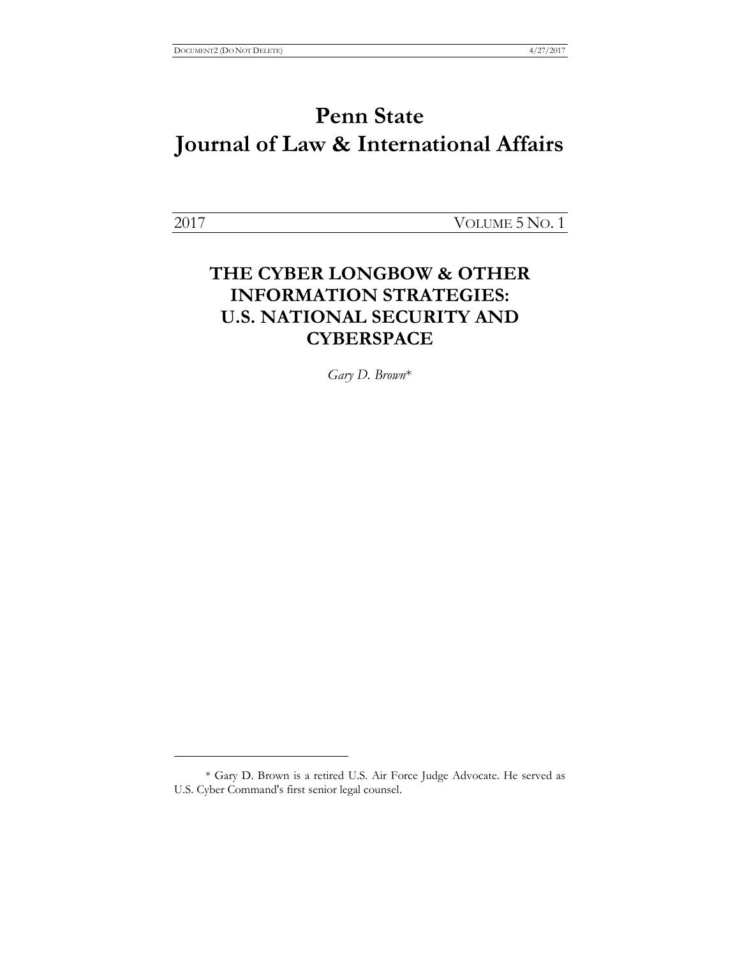# **Penn State Journal of Law & International Affairs**

 $\overline{a}$ 

2017 VOLUME 5 NO. 1

### **THE CYBER LONGBOW & OTHER INFORMATION STRATEGIES: U.S. NATIONAL SECURITY AND CYBERSPACE**

*Gary D. Brown*\*

<sup>\*</sup> Gary D. Brown is a retired U.S. Air Force Judge Advocate. He served as U.S. Cyber Command's first senior legal counsel.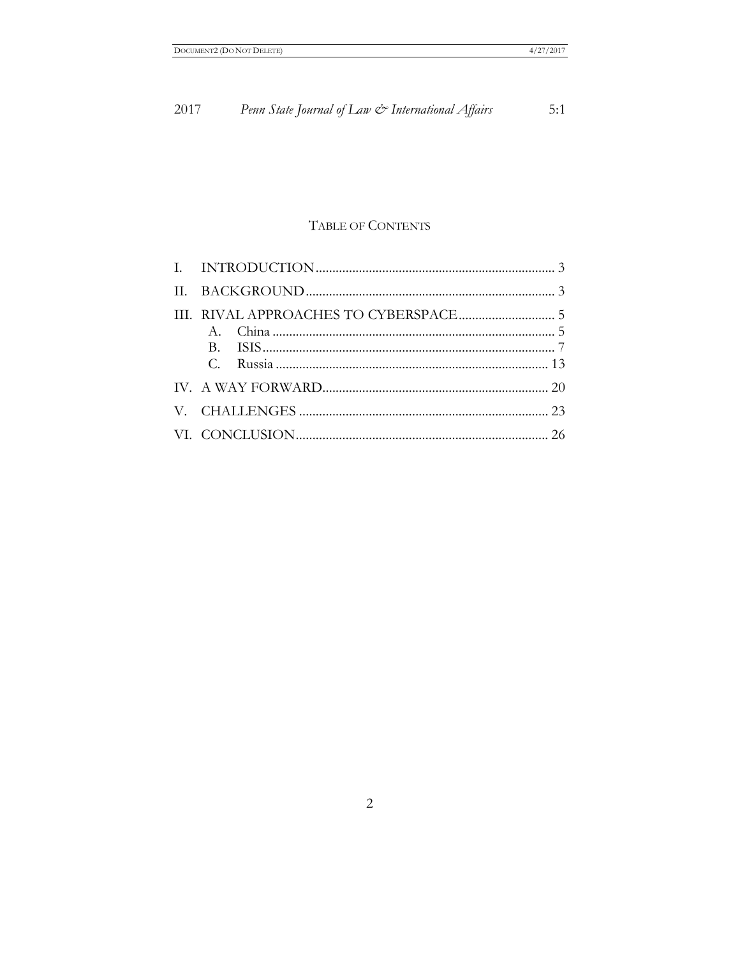#### Penn State Journal of Law & International Affairs  $2017\,$  $5:1$

### TABLE OF CONTENTS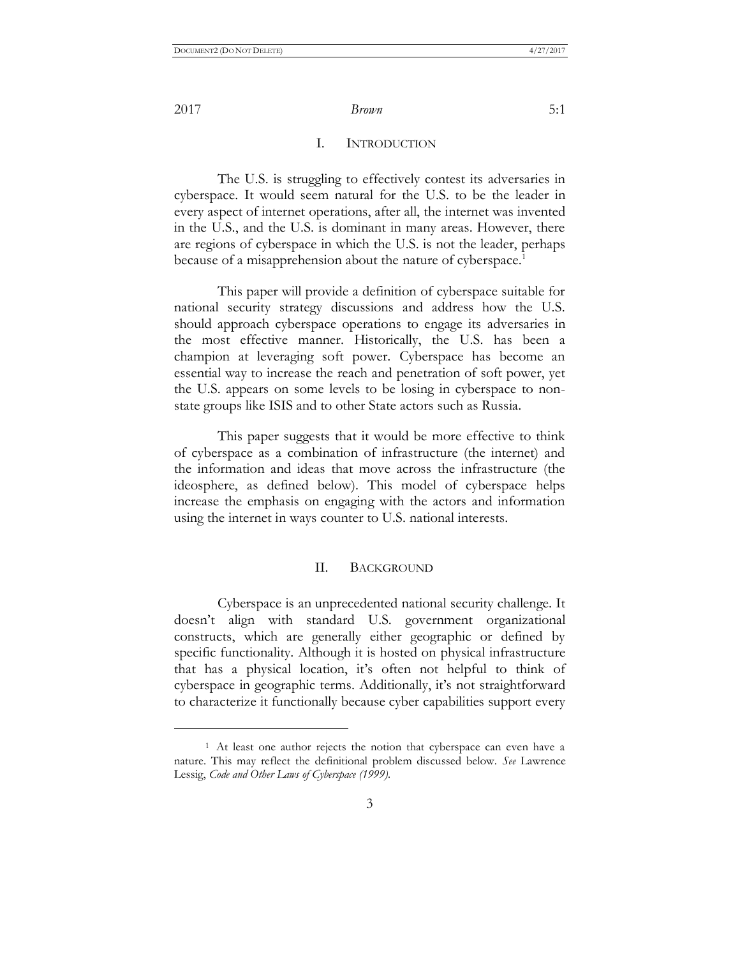2017 *Brown* 5:1

#### I. INTRODUCTION

The U.S. is struggling to effectively contest its adversaries in cyberspace. It would seem natural for the U.S. to be the leader in every aspect of internet operations, after all, the internet was invented in the U.S., and the U.S. is dominant in many areas. However, there are regions of cyberspace in which the U.S. is not the leader, perhaps because of a misapprehension about the nature of cyberspace.<sup>1</sup>

This paper will provide a definition of cyberspace suitable for national security strategy discussions and address how the U.S. should approach cyberspace operations to engage its adversaries in the most effective manner. Historically, the U.S. has been a champion at leveraging soft power. Cyberspace has become an essential way to increase the reach and penetration of soft power, yet the U.S. appears on some levels to be losing in cyberspace to nonstate groups like ISIS and to other State actors such as Russia.

This paper suggests that it would be more effective to think of cyberspace as a combination of infrastructure (the internet) and the information and ideas that move across the infrastructure (the ideosphere, as defined below). This model of cyberspace helps increase the emphasis on engaging with the actors and information using the internet in ways counter to U.S. national interests.

#### II. BACKGROUND

Cyberspace is an unprecedented national security challenge. It doesn't align with standard U.S. government organizational constructs, which are generally either geographic or defined by specific functionality. Although it is hosted on physical infrastructure that has a physical location, it's often not helpful to think of cyberspace in geographic terms. Additionally, it's not straightforward to characterize it functionally because cyber capabilities support every

<sup>&</sup>lt;sup>1</sup> At least one author rejects the notion that cyberspace can even have a nature. This may reflect the definitional problem discussed below. *See* Lawrence Lessig, *Code and Other Laws of Cyberspace (1999).*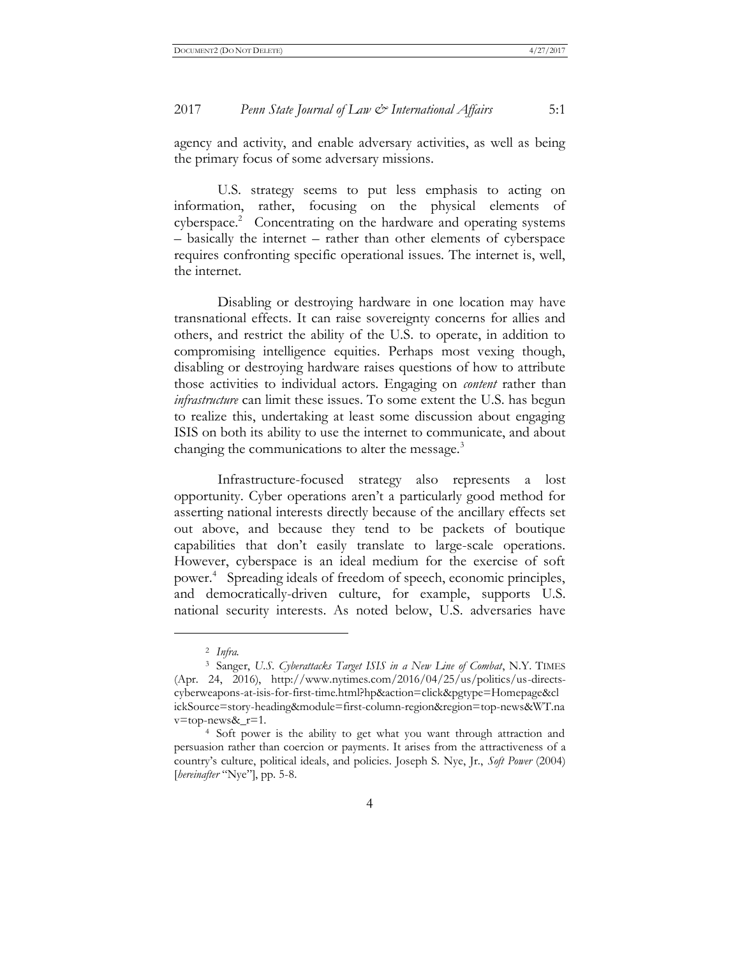#### 2017 *Penn State Journal of Law & International Affairs* 5:1

agency and activity, and enable adversary activities, as well as being the primary focus of some adversary missions.

U.S. strategy seems to put less emphasis to acting on information, rather, focusing on the physical elements of cyberspace.<sup>2</sup> Concentrating on the hardware and operating systems – basically the internet – rather than other elements of cyberspace requires confronting specific operational issues. The internet is, well, the internet.

Disabling or destroying hardware in one location may have transnational effects. It can raise sovereignty concerns for allies and others, and restrict the ability of the U.S. to operate, in addition to compromising intelligence equities. Perhaps most vexing though, disabling or destroying hardware raises questions of how to attribute those activities to individual actors. Engaging on *content* rather than *infrastructure* can limit these issues. To some extent the U.S. has begun to realize this, undertaking at least some discussion about engaging ISIS on both its ability to use the internet to communicate, and about changing the communications to alter the message.<sup>3</sup>

Infrastructure-focused strategy also represents a lost opportunity. Cyber operations aren't a particularly good method for asserting national interests directly because of the ancillary effects set out above, and because they tend to be packets of boutique capabilities that don't easily translate to large-scale operations. However, cyberspace is an ideal medium for the exercise of soft power.<sup>4</sup> Spreading ideals of freedom of speech, economic principles, and democratically-driven culture, for example, supports U.S. national security interests. As noted below, U.S. adversaries have

 $\overline{a}$ 

<sup>2</sup> *Infra.*

<sup>3</sup> Sanger, *U.S. Cyberattacks Target ISIS in a New Line of Combat*, N.Y. TIMES (Apr. 24, 2016), http://www.nytimes.com/2016/04/25/us/politics/us-directscyberweapons-at-isis-for-first-time.html?hp&action=click&pgtype=Homepage&cl ickSource=story-heading&module=first-column-region&region=top-news&WT.na  $v = top-news &_r=1.$ 

<sup>4</sup> Soft power is the ability to get what you want through attraction and persuasion rather than coercion or payments. It arises from the attractiveness of a country's culture, political ideals, and policies. Joseph S. Nye, Jr., *Soft Power* (2004) [*hereinafter* "Nye"], pp. 5-8.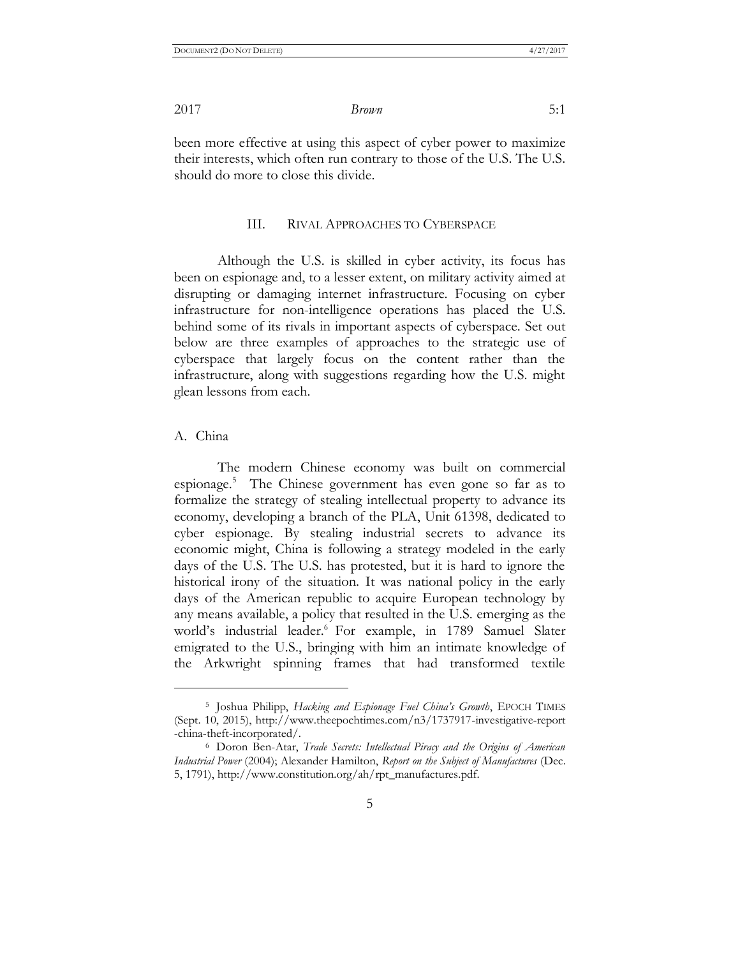been more effective at using this aspect of cyber power to maximize their interests, which often run contrary to those of the U.S. The U.S. should do more to close this divide.

#### III. RIVAL APPROACHES TO CYBERSPACE

Although the U.S. is skilled in cyber activity, its focus has been on espionage and, to a lesser extent, on military activity aimed at disrupting or damaging internet infrastructure. Focusing on cyber infrastructure for non-intelligence operations has placed the U.S. behind some of its rivals in important aspects of cyberspace. Set out below are three examples of approaches to the strategic use of cyberspace that largely focus on the content rather than the infrastructure, along with suggestions regarding how the U.S. might glean lessons from each.

#### A. China

 $\overline{a}$ 

The modern Chinese economy was built on commercial espionage.<sup>5</sup> The Chinese government has even gone so far as to formalize the strategy of stealing intellectual property to advance its economy, developing a branch of the PLA, Unit 61398, dedicated to cyber espionage. By stealing industrial secrets to advance its economic might, China is following a strategy modeled in the early days of the U.S. The U.S. has protested, but it is hard to ignore the historical irony of the situation. It was national policy in the early days of the American republic to acquire European technology by any means available, a policy that resulted in the U.S. emerging as the world's industrial leader.<sup>6</sup> For example, in 1789 Samuel Slater emigrated to the U.S., bringing with him an intimate knowledge of the Arkwright spinning frames that had transformed textile

<sup>5</sup> Joshua Philipp, *Hacking and Espionage Fuel China's Growth*, EPOCH TIMES (Sept. 10, 2015), http://www.theepochtimes.com/n3/1737917-investigative-report -china-theft-incorporated/.

<sup>6</sup> Doron Ben-Atar, *Trade Secrets: Intellectual Piracy and the Origins of American Industrial Power* (2004); Alexander Hamilton, *Report on the Subject of Manufactures* (Dec. 5, 1791), http://www.constitution.org/ah/rpt\_manufactures.pdf.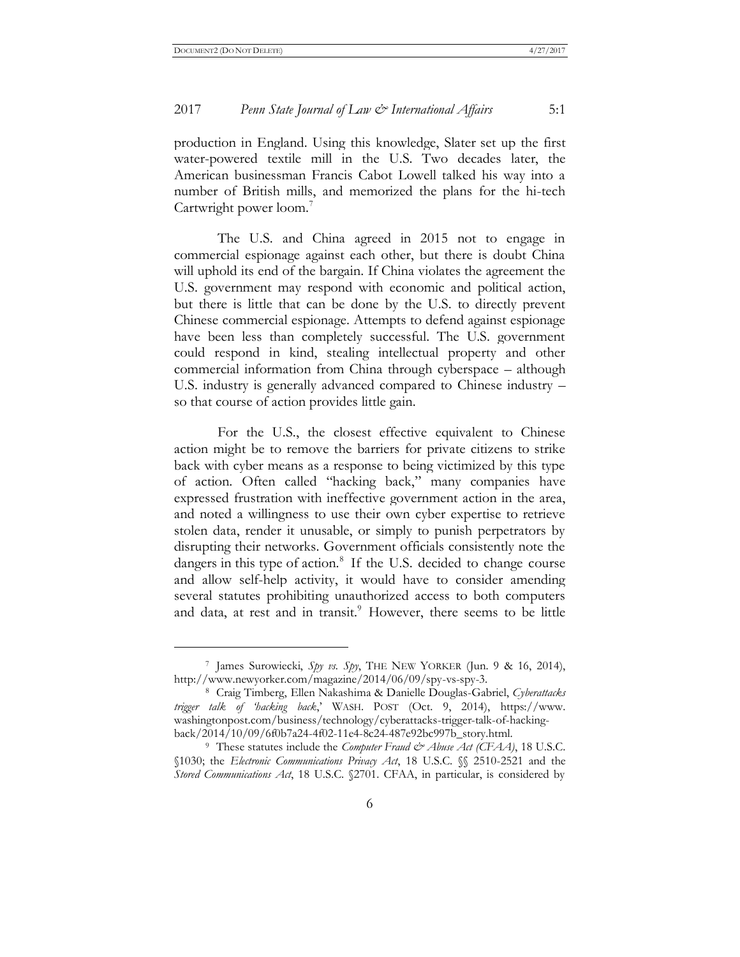#### 2017 *Penn State Journal of Law & International Affairs* 5:1

production in England. Using this knowledge, Slater set up the first water-powered textile mill in the U.S. Two decades later, the American businessman Francis Cabot Lowell talked his way into a number of British mills, and memorized the plans for the hi-tech Cartwright power loom.<sup>7</sup>

The U.S. and China agreed in 2015 not to engage in commercial espionage against each other, but there is doubt China will uphold its end of the bargain. If China violates the agreement the U.S. government may respond with economic and political action, but there is little that can be done by the U.S. to directly prevent Chinese commercial espionage. Attempts to defend against espionage have been less than completely successful. The U.S. government could respond in kind, stealing intellectual property and other commercial information from China through cyberspace – although U.S. industry is generally advanced compared to Chinese industry – so that course of action provides little gain.

For the U.S., the closest effective equivalent to Chinese action might be to remove the barriers for private citizens to strike back with cyber means as a response to being victimized by this type of action. Often called "hacking back," many companies have expressed frustration with ineffective government action in the area, and noted a willingness to use their own cyber expertise to retrieve stolen data, render it unusable, or simply to punish perpetrators by disrupting their networks. Government officials consistently note the dangers in this type of action.<sup>8</sup> If the U.S. decided to change course and allow self-help activity, it would have to consider amending several statutes prohibiting unauthorized access to both computers and data, at rest and in transit.<sup>9</sup> However, there seems to be little

<sup>7</sup> James Surowiecki, *Spy vs. Spy*, THE NEW YORKER (Jun. 9 & 16, 2014), http://www.newyorker.com/magazine/2014/06/09/spy-vs-spy-3.

<sup>8</sup> Craig Timberg, Ellen Nakashima & Danielle Douglas-Gabriel, *Cyberattacks trigger talk of 'hacking back*,' WASH. POST (Oct. 9, 2014), https://www. washingtonpost.com/business/technology/cyberattacks-trigger-talk-of-hackingback/2014/10/09/6f0b7a24-4f02-11e4-8c24-487e92bc997b\_story.html.

<sup>9</sup> These statutes include the *Computer Fraud & Abuse Act (CFAA)*, 18 U.S.C. §1030; the *Electronic Communications Privacy Act*, 18 U.S.C. §§ 2510-2521 and the *Stored Communications Act*, 18 U.S.C. §2701. CFAA, in particular, is considered by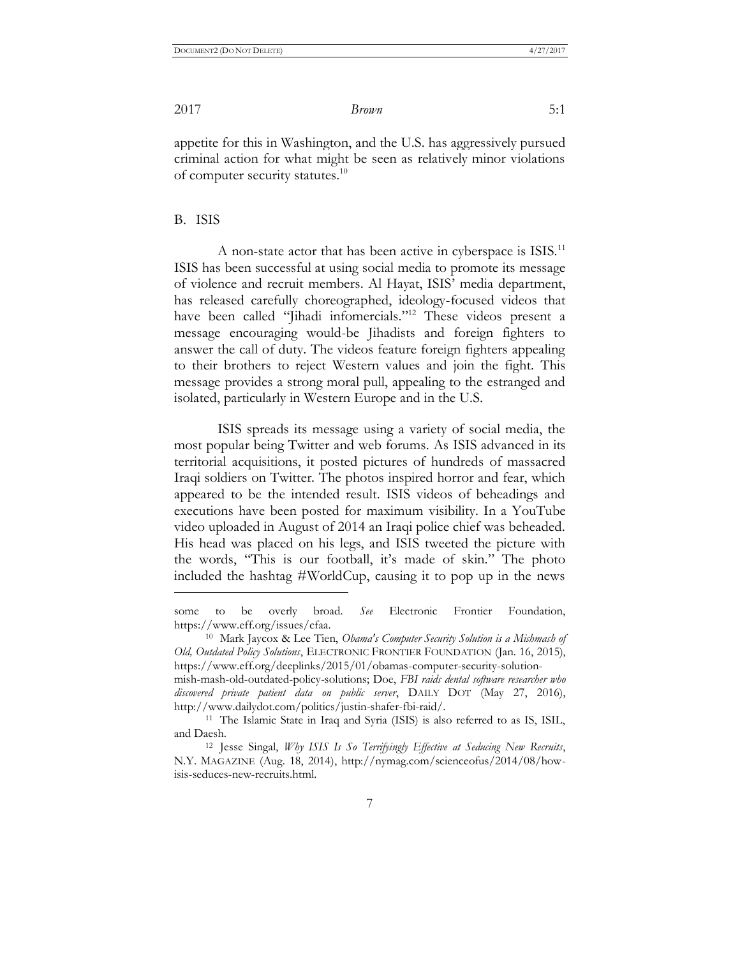appetite for this in Washington, and the U.S. has aggressively pursued criminal action for what might be seen as relatively minor violations of computer security statutes.<sup>10</sup>

#### B. ISIS

 $\overline{a}$ 

A non-state actor that has been active in cyberspace is ISIS.<sup>11</sup> ISIS has been successful at using social media to promote its message of violence and recruit members. Al Hayat, ISIS' media department, has released carefully choreographed, ideology-focused videos that have been called "Jihadi infomercials." <sup>12</sup> These videos present a message encouraging would-be Jihadists and foreign fighters to answer the call of duty. The videos feature foreign fighters appealing to their brothers to reject Western values and join the fight. This message provides a strong moral pull, appealing to the estranged and isolated, particularly in Western Europe and in the U.S.

ISIS spreads its message using a variety of social media, the most popular being Twitter and web forums. As ISIS advanced in its territorial acquisitions, it posted pictures of hundreds of massacred Iraqi soldiers on Twitter. The photos inspired horror and fear, which appeared to be the intended result. ISIS videos of beheadings and executions have been posted for maximum visibility. In a YouTube video uploaded in August of 2014 an Iraqi police chief was beheaded. His head was placed on his legs, and ISIS tweeted the picture with the words, "This is our football, it's made of skin." The photo included the hashtag #WorldCup, causing it to pop up in the news

some to be overly broad. *See* Electronic Frontier Foundation, https://www.eff.org/issues/cfaa.

<sup>10</sup> Mark Jaycox & Lee Tien, *Obama's Computer Security Solution is a Mishmash of Old, Outdated Policy Solutions*, ELECTRONIC FRONTIER FOUNDATION (Jan. 16, 2015), https://www.eff.org/deeplinks/2015/01/obamas-computer-security-solution-

mish-mash-old-outdated-policy-solutions; Doe, *FBI raids dental software researcher who discovered private patient data on public server*, DAILY DOT (May 27, 2016), http://www.dailydot.com/politics/justin-shafer-fbi-raid/.

<sup>&</sup>lt;sup>11</sup> The Islamic State in Iraq and Syria (ISIS) is also referred to as IS, ISIL, and Daesh.

<sup>12</sup> Jesse Singal, *Why ISIS Is So Terrifyingly Effective at Seducing New Recruits*, N.Y. MAGAZINE (Aug. 18, 2014), http://nymag.com/scienceofus/2014/08/howisis-seduces-new-recruits.html.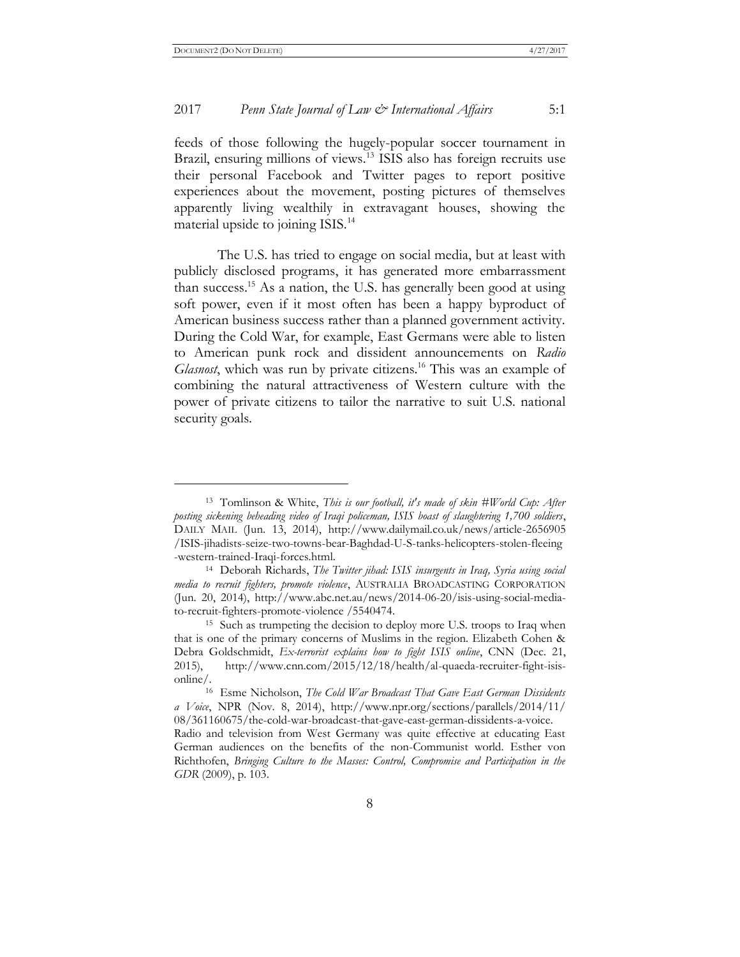#### 2017 *Penn State Journal of Law & International Affairs* 5:1

feeds of those following the hugely-popular soccer tournament in Brazil, ensuring millions of views.<sup>13</sup> ISIS also has foreign recruits use their personal Facebook and Twitter pages to report positive experiences about the movement, posting pictures of themselves apparently living wealthily in extravagant houses, showing the material upside to joining ISIS.<sup>14</sup>

The U.S. has tried to engage on social media, but at least with publicly disclosed programs, it has generated more embarrassment than success.<sup>15</sup> As a nation, the U.S. has generally been good at using soft power, even if it most often has been a happy byproduct of American business success rather than a planned government activity. During the Cold War, for example, East Germans were able to listen to American punk rock and dissident announcements on *Radio Glasnost*, which was run by private citizens.<sup>16</sup> This was an example of combining the natural attractiveness of Western culture with the power of private citizens to tailor the narrative to suit U.S. national security goals.

<sup>13</sup> Tomlinson & White, *This is our football, it's made of skin #World Cup: After posting sickening beheading video of Iraqi policeman, ISIS boast of slaughtering 1,700 soldiers*, DAILY MAIL (Jun. 13, 2014), http://www.dailymail.co.uk/news/article-2656905 /ISIS-jihadists-seize-two-towns-bear-Baghdad-U-S-tanks-helicopters-stolen-fleeing -western-trained-Iraqi-forces.html.

<sup>14</sup> Deborah Richards, *The Twitter jihad: ISIS insurgents in Iraq, Syria using social media to recruit fighters, promote violence*, AUSTRALIA BROADCASTING CORPORATION (Jun. 20, 2014), http://www.abc.net.au/news/2014-06-20/isis-using-social-mediato-recruit-fighters-promote-violence /5540474.

<sup>15</sup> Such as trumpeting the decision to deploy more U.S. troops to Iraq when that is one of the primary concerns of Muslims in the region. Elizabeth Cohen & Debra Goldschmidt, *Ex-terrorist explains how to fight ISIS online*, CNN (Dec. 21, 2015), http://www.cnn.com/2015/12/18/health/al-quaeda-recruiter-fight-isisonline/.

<sup>16</sup> Esme Nicholson, *The Cold War Broadcast That Gave East German Dissidents a Voice*, NPR (Nov. 8, 2014), http://www.npr.org/sections/parallels/2014/11/ 08/361160675/the-cold-war-broadcast-that-gave-east-german-dissidents-a-voice.

Radio and television from West Germany was quite effective at educating East German audiences on the benefits of the non-Communist world. Esther von Richthofen, *Bringing Culture to the Masses: Control, Compromise and Participation in the GDR* (2009), p. 103.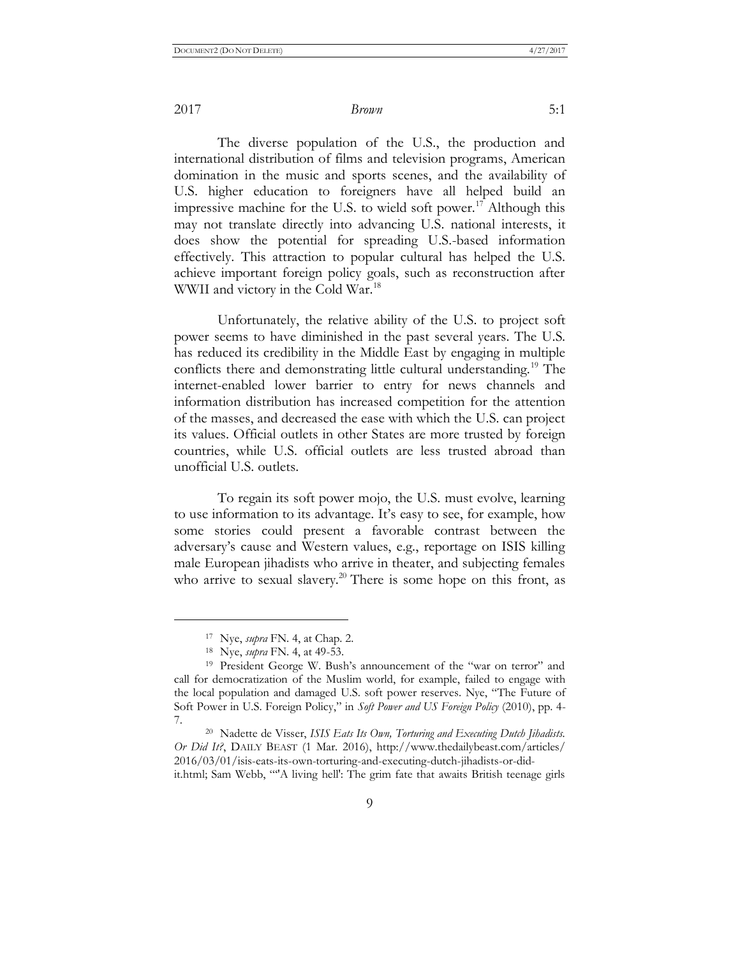The diverse population of the U.S., the production and international distribution of films and television programs, American domination in the music and sports scenes, and the availability of U.S. higher education to foreigners have all helped build an impressive machine for the U.S. to wield soft power.<sup>17</sup> Although this may not translate directly into advancing U.S. national interests, it does show the potential for spreading U.S.-based information effectively. This attraction to popular cultural has helped the U.S. achieve important foreign policy goals, such as reconstruction after WWII and victory in the Cold War.<sup>18</sup>

Unfortunately, the relative ability of the U.S. to project soft power seems to have diminished in the past several years. The U.S. has reduced its credibility in the Middle East by engaging in multiple conflicts there and demonstrating little cultural understanding.<sup>19</sup> The internet-enabled lower barrier to entry for news channels and information distribution has increased competition for the attention of the masses, and decreased the ease with which the U.S. can project its values. Official outlets in other States are more trusted by foreign countries, while U.S. official outlets are less trusted abroad than unofficial U.S. outlets.

To regain its soft power mojo, the U.S. must evolve, learning to use information to its advantage. It's easy to see, for example, how some stories could present a favorable contrast between the adversary's cause and Western values, e.g., reportage on ISIS killing male European jihadists who arrive in theater, and subjecting females who arrive to sexual slavery.<sup>20</sup> There is some hope on this front, as

 $\overline{a}$ 

<sup>17</sup> Nye, *supra* FN. 4, at Chap. 2.

<sup>18</sup> Nye, *supra* FN. 4, at 49-53.

<sup>19</sup> President George W. Bush's announcement of the "war on terror" and call for democratization of the Muslim world, for example, failed to engage with the local population and damaged U.S. soft power reserves. Nye, "The Future of Soft Power in U.S. Foreign Policy," in *Soft Power and US Foreign Policy* (2010), pp. 4- 7.

<sup>20</sup> Nadette de Visser, *ISIS Eats Its Own, Torturing and Executing Dutch Jihadists. Or Did It?*, DAILY BEAST (1 Mar. 2016), http://www.thedailybeast.com/articles/ 2016/03/01/isis-eats-its-own-torturing-and-executing-dutch-jihadists-or-didit.html; Sam Webb, "''A living hell': The grim fate that awaits British teenage girls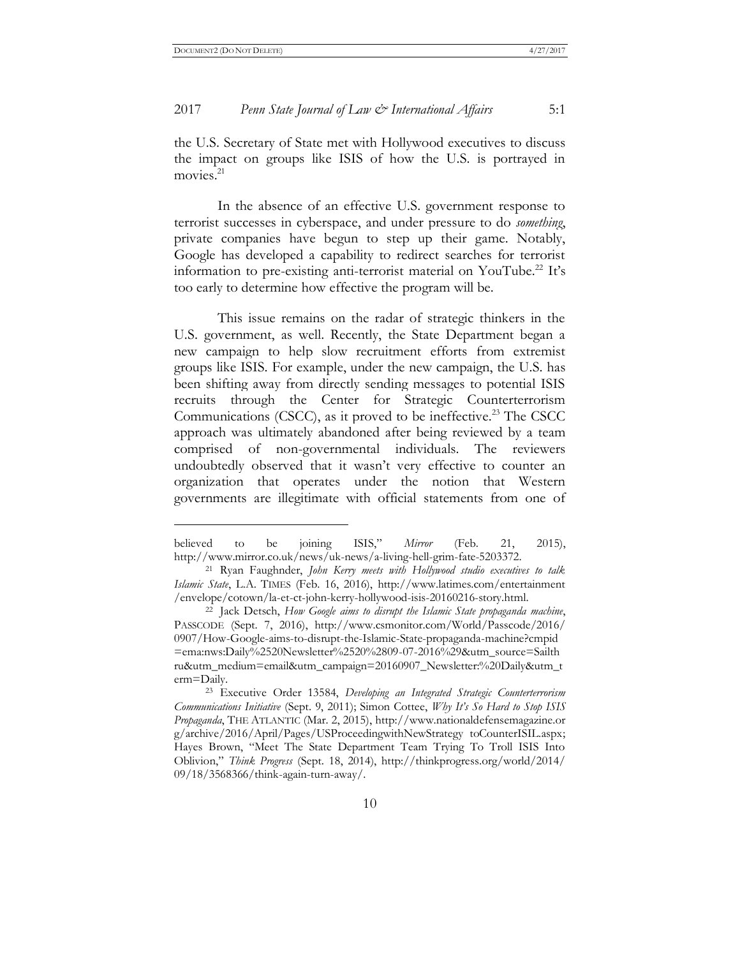#### 2017 *Penn State Journal of Law & International Affairs* 5:1

the U.S. Secretary of State met with Hollywood executives to discuss the impact on groups like ISIS of how the U.S. is portrayed in movies.<sup>21</sup>

In the absence of an effective U.S. government response to terrorist successes in cyberspace, and under pressure to do *something*, private companies have begun to step up their game. Notably, Google has developed a capability to redirect searches for terrorist information to pre-existing anti-terrorist material on YouTube.<sup>22</sup> It's too early to determine how effective the program will be.

This issue remains on the radar of strategic thinkers in the U.S. government, as well. Recently, the State Department began a new campaign to help slow recruitment efforts from extremist groups like ISIS. For example, under the new campaign, the U.S. has been shifting away from directly sending messages to potential ISIS recruits through the Center for Strategic Counterterrorism Communications (CSCC), as it proved to be ineffective.<sup>23</sup> The CSCC approach was ultimately abandoned after being reviewed by a team comprised of non-governmental individuals. The reviewers undoubtedly observed that it wasn't very effective to counter an organization that operates under the notion that Western governments are illegitimate with official statements from one of

believed to be joining ISIS," *Mirror* (Feb. 21, 2015), http://www.mirror.co.uk/news/uk-news/a-living-hell-grim-fate-5203372.

<sup>21</sup> Ryan Faughnder, *John Kerry meets with Hollywood studio executives to talk Islamic State*, L.A. TIMES (Feb. 16, 2016), http://www.latimes.com/entertainment /envelope/cotown/la-et-ct-john-kerry-hollywood-isis-20160216-story.html.

<sup>22</sup> Jack Detsch, *How Google aims to disrupt the Islamic State propaganda machine*, PASSCODE (Sept. 7, 2016), http://www.csmonitor.com/World/Passcode/2016/ 0907/How-Google-aims-to-disrupt-the-Islamic-State-propaganda-machine?cmpid =ema:nws:Daily%2520Newsletter%2520%2809-07-2016%29&utm\_source=Sailth ru&utm\_medium=email&utm\_campaign=20160907\_Newsletter:%20Daily&utm\_t erm=Daily.

<sup>23</sup> Executive Order 13584, *Developing an Integrated Strategic Counterterrorism Communications Initiative* (Sept. 9, 2011); Simon Cottee, *Why It's So Hard to Stop ISIS Propaganda*, THE ATLANTIC (Mar. 2, 2015), http://www.nationaldefensemagazine.or g/archive/2016/April/Pages/USProceedingwithNewStrategy toCounterISIL.aspx; Hayes Brown, "Meet The State Department Team Trying To Troll ISIS Into Oblivion," *Think Progress* (Sept. 18, 2014), http://thinkprogress.org/world/2014/ 09/18/3568366/think-again-turn-away/.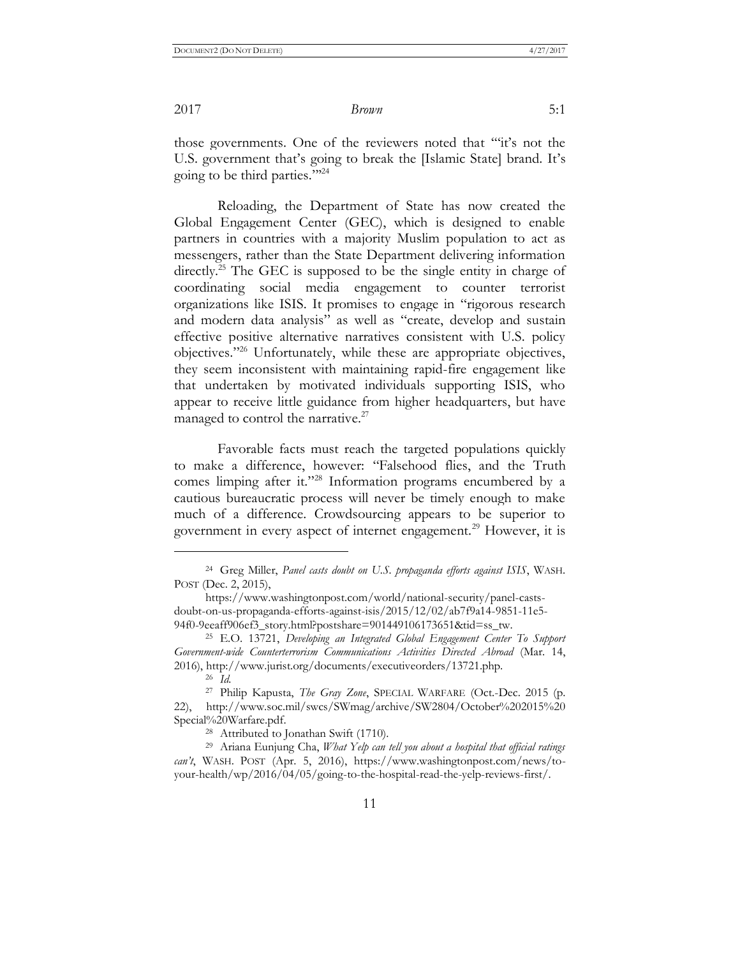those governments. One of the reviewers noted that '"it's not the U.S. government that's going to break the [Islamic State] brand. It's going to be third parties."' 24

Reloading, the Department of State has now created the Global Engagement Center (GEC), which is designed to enable partners in countries with a majority Muslim population to act as messengers, rather than the State Department delivering information directly.<sup>25</sup> The GEC is supposed to be the single entity in charge of coordinating social media engagement to counter terrorist organizations like ISIS. It promises to engage in "rigorous research and modern data analysis" as well as "create, develop and sustain effective positive alternative narratives consistent with U.S. policy objectives." <sup>26</sup> Unfortunately, while these are appropriate objectives, they seem inconsistent with maintaining rapid-fire engagement like that undertaken by motivated individuals supporting ISIS, who appear to receive little guidance from higher headquarters, but have managed to control the narrative.<sup>27</sup>

Favorable facts must reach the targeted populations quickly to make a difference, however: "Falsehood flies, and the Truth comes limping after it." <sup>28</sup> Information programs encumbered by a cautious bureaucratic process will never be timely enough to make much of a difference. Crowdsourcing appears to be superior to government in every aspect of internet engagement.<sup>29</sup> However, it is

 $\overline{a}$ 

<sup>24</sup> Greg Miller, *Panel casts doubt on U.S. propaganda efforts against ISIS*, WASH. POST (Dec. 2, 2015),

https://www.washingtonpost.com/world/national-security/panel-castsdoubt-on-us-propaganda-efforts-against-isis/2015/12/02/ab7f9a14-9851-11e5- 94f0-9eeaff906ef3\_story.html?postshare=901449106173651&tid=ss\_tw.

<sup>25</sup> E.O. 13721, *Developing an Integrated Global Engagement Center To Support Government-wide Counterterrorism Communications Activities Directed Abroad* (Mar. 14, 2016), http://www.jurist.org/documents/executiveorders/13721.php.

<sup>26</sup> *Id.*

<sup>27</sup> Philip Kapusta, *The Gray Zone*, SPECIAL WARFARE (Oct.-Dec. 2015 (p. 22), http://www.soc.mil/swcs/SWmag/archive/SW2804/October%202015%20 Special%20Warfare.pdf.

<sup>28</sup> Attributed to Jonathan Swift (1710).

<sup>29</sup> Ariana Eunjung Cha, *What Yelp can tell you about a hospital that official ratings can't*, WASH. POST (Apr. 5, 2016), https://www.washingtonpost.com/news/toyour-health/wp/2016/04/05/going-to-the-hospital-read-the-yelp-reviews-first/.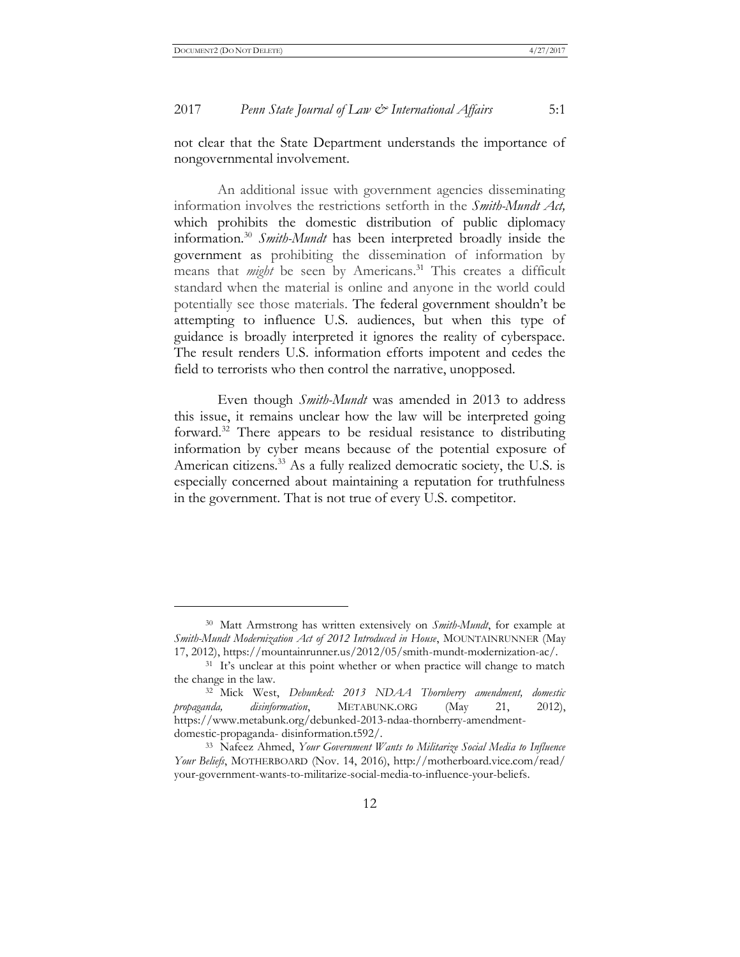#### 2017 *Penn State Journal of Law & International Affairs* 5:1

not clear that the State Department understands the importance of nongovernmental involvement.

An additional issue with government agencies disseminating information involves the restrictions setforth in the *Smith-Mundt Act,* which prohibits the domestic distribution of public diplomacy information.<sup>30</sup> *Smith-Mundt* has been interpreted broadly inside the government as prohibiting the dissemination of information by means that *might* be seen by Americans.<sup>31</sup> This creates a difficult standard when the material is online and anyone in the world could potentially see those materials. The federal government shouldn't be attempting to influence U.S. audiences, but when this type of guidance is broadly interpreted it ignores the reality of cyberspace. The result renders U.S. information efforts impotent and cedes the field to terrorists who then control the narrative, unopposed.

Even though *Smith-Mundt* was amended in 2013 to address this issue, it remains unclear how the law will be interpreted going forward.<sup>32</sup> There appears to be residual resistance to distributing information by cyber means because of the potential exposure of American citizens.<sup>33</sup> As a fully realized democratic society, the U.S. is especially concerned about maintaining a reputation for truthfulness in the government. That is not true of every U.S. competitor.

<sup>30</sup> Matt Armstrong has written extensively on *Smith-Mundt*, for example at *Smith-Mundt Modernization Act of 2012 Introduced in House*, MOUNTAINRUNNER (May 17, 2012), https://mountainrunner.us/2012/05/smith-mundt-modernization-ac/.

<sup>&</sup>lt;sup>31</sup> It's unclear at this point whether or when practice will change to match the change in the law.

<sup>32</sup> Mick West, *Debunked: 2013 NDAA Thornberry amendment, domestic propaganda, disinformation*, METABUNK.ORG (May 21, 2012), https://www.metabunk.org/debunked-2013-ndaa-thornberry-amendmentdomestic-propaganda- disinformation.t592/.

<sup>33</sup> Nafeez Ahmed, *Your Government Wants to Militarize Social Media to Influence Your Beliefs*, MOTHERBOARD (Nov. 14, 2016), http://motherboard.vice.com/read/ your-government-wants-to-militarize-social-media-to-influence-your-beliefs.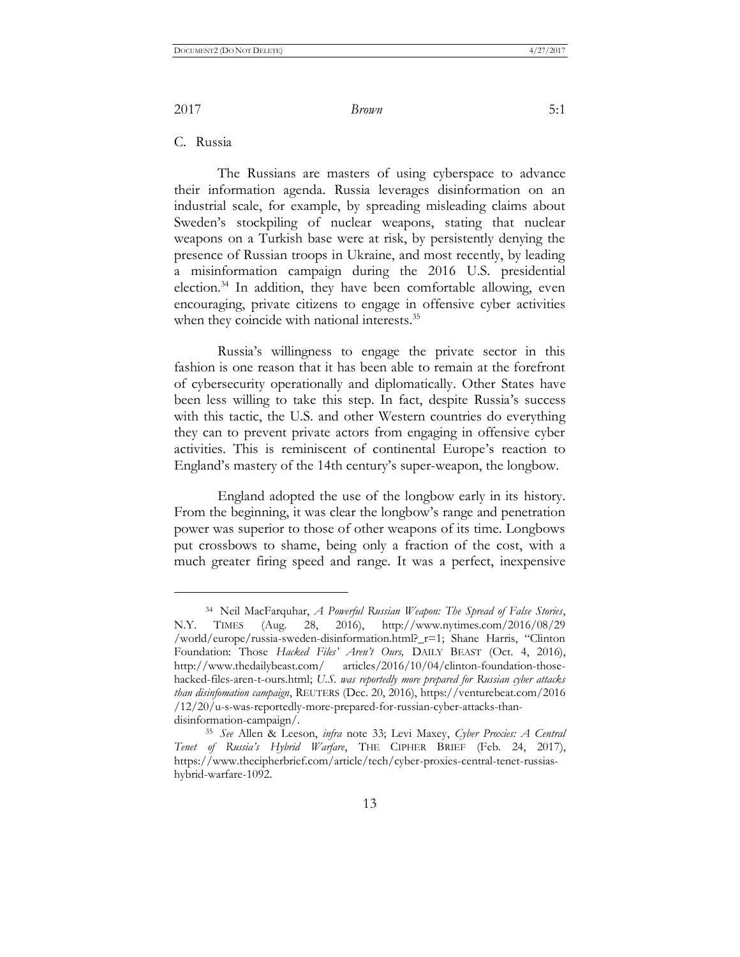C. Russia

 $\overline{a}$ 

The Russians are masters of using cyberspace to advance their information agenda. Russia leverages disinformation on an industrial scale, for example, by spreading misleading claims about Sweden's stockpiling of nuclear weapons, stating that nuclear weapons on a Turkish base were at risk, by persistently denying the presence of Russian troops in Ukraine, and most recently, by leading a misinformation campaign during the 2016 U.S. presidential election.<sup>34</sup> In addition, they have been comfortable allowing, even encouraging, private citizens to engage in offensive cyber activities when they coincide with national interests.<sup>35</sup>

Russia's willingness to engage the private sector in this fashion is one reason that it has been able to remain at the forefront of cybersecurity operationally and diplomatically. Other States have been less willing to take this step. In fact, despite Russia's success with this tactic, the U.S. and other Western countries do everything they can to prevent private actors from engaging in offensive cyber activities. This is reminiscent of continental Europe's reaction to England's mastery of the 14th century's super-weapon, the longbow.

England adopted the use of the longbow early in its history. From the beginning, it was clear the longbow's range and penetration power was superior to those of other weapons of its time. Longbows put crossbows to shame, being only a fraction of the cost, with a much greater firing speed and range. It was a perfect, inexpensive

13

<sup>34</sup> Neil MacFarquhar, *A Powerful Russian Weapon: The Spread of False Stories*, N.Y. TIMES (Aug. 28, 2016), http://www.nytimes.com/2016/08/29 /world/europe/russia-sweden-disinformation.html?\_r=1; Shane Harris, "Clinton Foundation: Those *Hacked Files' Aren't Ours*, DAILY BEAST (Oct. 4, 2016), http://www.thedailybeast.com/ articles/2016/10/04/clinton-foundation-thosehacked-files-aren-t-ours.html; *U.S. was reportedly more prepared for Russian cyber attacks than disinfomation campaign*, REUTERS (Dec. 20, 2016), https://venturebeat.com/2016 /12/20/u-s-was-reportedly-more-prepared-for-russian-cyber-attacks-thandisinformation-campaign/.

<sup>35</sup> *See* Allen & Leeson, *infra* note 33; Levi Maxey, *Cyber Proxies: A Central Tenet of Russia's Hybrid Warfare*, THE CIPHER BRIEF (Feb. 24, 2017), https://www.thecipherbrief.com/article/tech/cyber-proxies-central-tenet-russiashybrid-warfare-1092.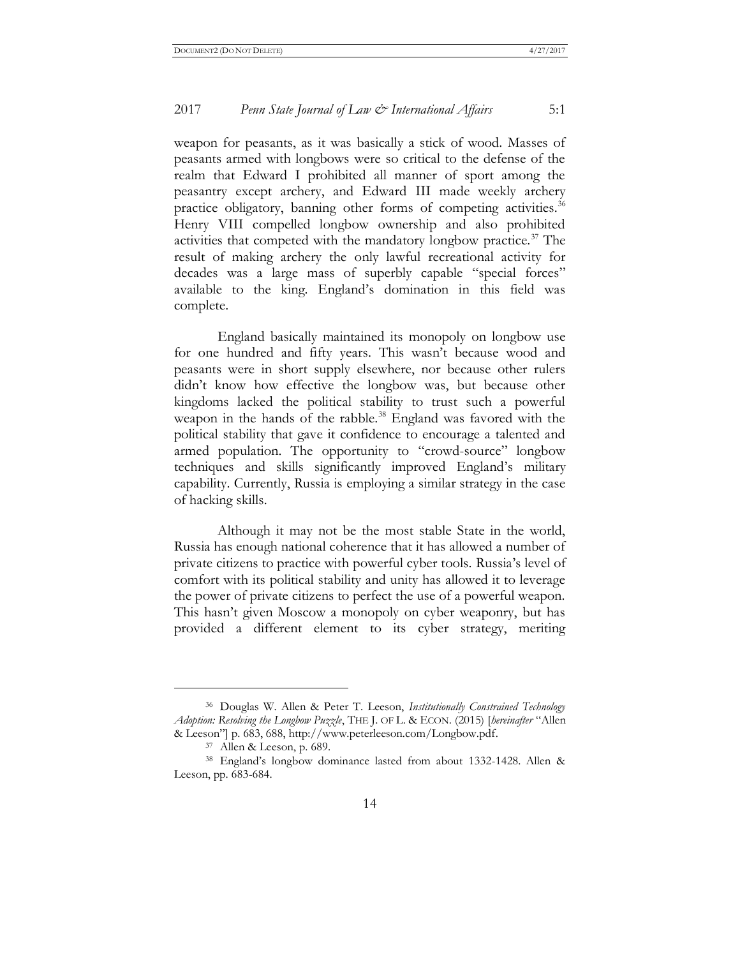#### 2017 *Penn State Journal of Law & International Affairs* 5:1

weapon for peasants, as it was basically a stick of wood. Masses of peasants armed with longbows were so critical to the defense of the realm that Edward I prohibited all manner of sport among the peasantry except archery, and Edward III made weekly archery practice obligatory, banning other forms of competing activities.<sup>36</sup> Henry VIII compelled longbow ownership and also prohibited activities that competed with the mandatory longbow practice.<sup>37</sup> The result of making archery the only lawful recreational activity for decades was a large mass of superbly capable "special forces" available to the king. England's domination in this field was complete.

England basically maintained its monopoly on longbow use for one hundred and fifty years. This wasn't because wood and peasants were in short supply elsewhere, nor because other rulers didn't know how effective the longbow was, but because other kingdoms lacked the political stability to trust such a powerful weapon in the hands of the rabble.<sup>38</sup> England was favored with the political stability that gave it confidence to encourage a talented and armed population. The opportunity to "crowd-source" longbow techniques and skills significantly improved England's military capability. Currently, Russia is employing a similar strategy in the case of hacking skills.

Although it may not be the most stable State in the world, Russia has enough national coherence that it has allowed a number of private citizens to practice with powerful cyber tools. Russia's level of comfort with its political stability and unity has allowed it to leverage the power of private citizens to perfect the use of a powerful weapon. This hasn't given Moscow a monopoly on cyber weaponry, but has provided a different element to its cyber strategy, meriting

 $\overline{a}$ 

<sup>36</sup> Douglas W. Allen & Peter T. Leeson, *Institutionally Constrained Technology Adoption: Resolving the Longbow Puzzle*, THE J. OF L. & ECON. (2015) [*hereinafter* "Allen & Leeson"] p. 683, 688, http://www.peterleeson.com/Longbow.pdf.

<sup>37</sup> Allen & Leeson, p. 689.

<sup>38</sup> England's longbow dominance lasted from about 1332-1428. Allen & Leeson, pp. 683-684.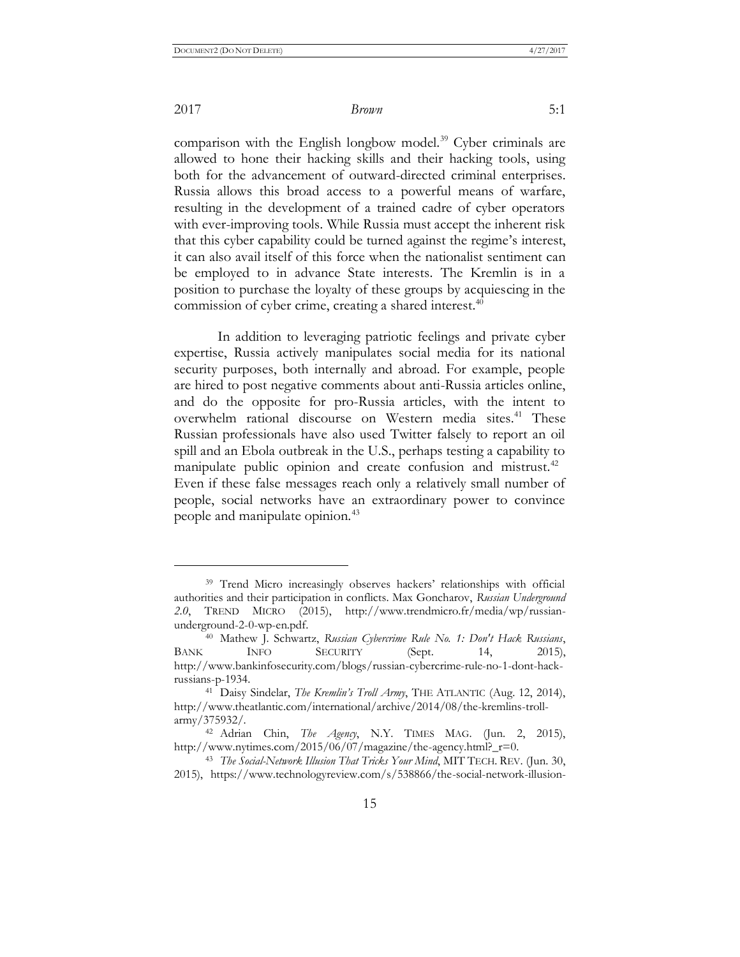#### 2017 *Brown* 5:1

comparison with the English longbow model.<sup>39</sup> Cyber criminals are allowed to hone their hacking skills and their hacking tools, using both for the advancement of outward-directed criminal enterprises. Russia allows this broad access to a powerful means of warfare, resulting in the development of a trained cadre of cyber operators with ever-improving tools. While Russia must accept the inherent risk that this cyber capability could be turned against the regime's interest, it can also avail itself of this force when the nationalist sentiment can be employed to in advance State interests. The Kremlin is in a position to purchase the loyalty of these groups by acquiescing in the commission of cyber crime, creating a shared interest.<sup>40</sup>

In addition to leveraging patriotic feelings and private cyber expertise, Russia actively manipulates social media for its national security purposes, both internally and abroad. For example, people are hired to post negative comments about anti-Russia articles online, and do the opposite for pro-Russia articles, with the intent to overwhelm rational discourse on Western media sites.<sup>41</sup> These Russian professionals have also used Twitter falsely to report an oil spill and an Ebola outbreak in the U.S., perhaps testing a capability to manipulate public opinion and create confusion and mistrust. $42$ Even if these false messages reach only a relatively small number of people, social networks have an extraordinary power to convince people and manipulate opinion.<sup>43</sup>

<sup>&</sup>lt;sup>39</sup> Trend Micro increasingly observes hackers' relationships with official authorities and their participation in conflicts. Max Goncharov, *Russian Underground 2.0*, TREND MICRO (2015), http://www.trendmicro.fr/media/wp/russianunderground-2-0-wp-en.pdf.

<sup>40</sup> Mathew J. Schwartz, *Russian Cybercrime Rule No. 1: Don't Hack Russians*, BANK INFO SECURITY (Sept. 14, 2015), http://www.bankinfosecurity.com/blogs/russian-cybercrime-rule-no-1-dont-hackrussians-p-1934.

<sup>41</sup> Daisy Sindelar, *The Kremlin's Troll Army*, THE ATLANTIC (Aug. 12, 2014), http://www.theatlantic.com/international/archive/2014/08/the-kremlins-trollarmy/375932/.

<sup>42</sup> Adrian Chin, *The Agency*, N.Y. TIMES MAG. (Jun. 2, 2015), http://www.nytimes.com/2015/06/07/magazine/the-agency.html?\_r=0.

<sup>43</sup> *The Social-Network Illusion That Tricks Your Mind*, MIT TECH. REV. (Jun. 30, 2015), https://www.technologyreview.com/s/538866/the-social-network-illusion-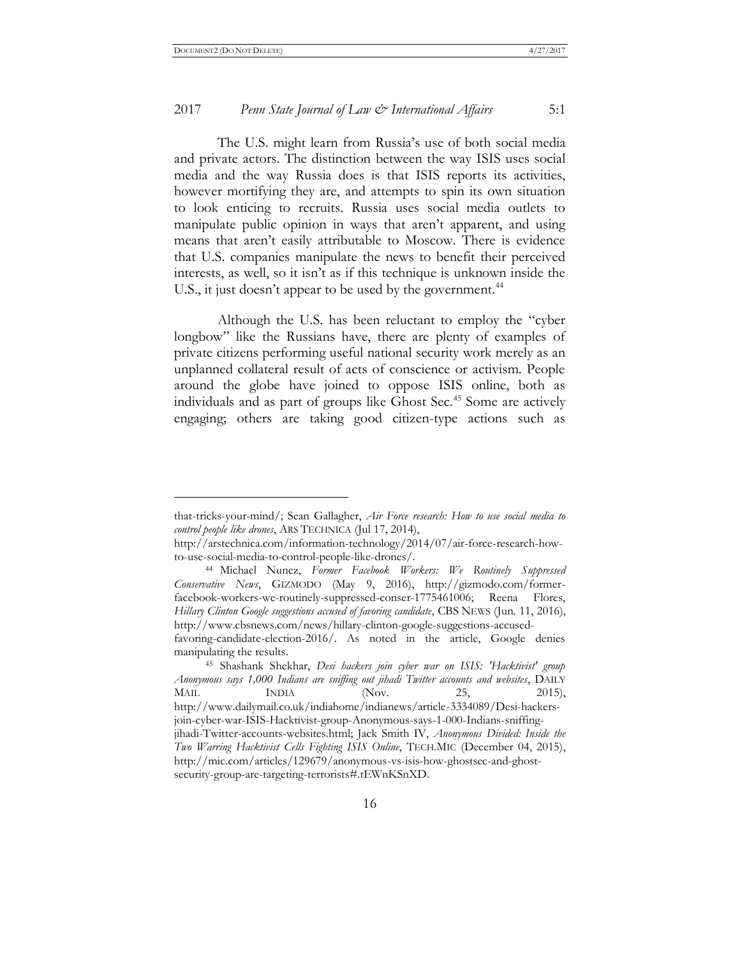#### 2017 *Penn State Journal of Law & International Affairs* 5:1

The U.S. might learn from Russia's use of both social media and private actors. The distinction between the way ISIS uses social media and the way Russia does is that ISIS reports its activities, however mortifying they are, and attempts to spin its own situation to look enticing to recruits. Russia uses social media outlets to manipulate public opinion in ways that aren't apparent, and using means that aren't easily attributable to Moscow. There is evidence that U.S. companies manipulate the news to benefit their perceived interests, as well, so it isn't as if this technique is unknown inside the U.S., it just doesn't appear to be used by the government.<sup>44</sup>

Although the U.S. has been reluctant to employ the "cyber longbow" like the Russians have, there are plenty of examples of private citizens performing useful national security work merely as an unplanned collateral result of acts of conscience or activism. People around the globe have joined to oppose ISIS online, both as individuals and as part of groups like Ghost Sec.<sup>45</sup> Some are actively engaging; others are taking good citizen-type actions such as

that-tricks-your-mind/; Sean Gallagher, *Air Force research: How to use social media to control people like drones*, ARS TECHNICA (Jul 17, 2014),

http://arstechnica.com/information-technology/2014/07/air-force-research-howto-use-social-media-to-control-people-like-drones/.

<sup>44</sup> Michael Nunez, *Former Facebook Workers: We Routinely Suppressed Conservative News*, GIZMODO (May 9, 2016), http://gizmodo.com/formerfacebook-workers-we-routinely-suppressed-conser-1775461006; Reena Flores, *Hillary Clinton Google suggestions accused of favoring candidate*, CBS NEWS (Jun. 11, 2016), http://www.cbsnews.com/news/hillary-clinton-google-suggestions-accused-

favoring-candidate-election-2016/. As noted in the article, Google denies manipulating the results.

<sup>45</sup> Shashank Shekhar, *Desi hackers join cyber war on ISIS: 'Hacktivist' group Anonymous says 1,000 Indians are sniffing out jihadi Twitter accounts and websites*, DAILY MAIL INDIA (Nov. 25, 2015), http://www.dailymail.co.uk/indiahome/indianews/article-3334089/Desi-hackersjoin-cyber-war-ISIS-Hacktivist-group-Anonymous-says-1-000-Indians-sniffingjihadi-Twitter-accounts-websites.html; Jack Smith IV, *Anonymous Divided: Inside the Two Warring Hacktivist Cells Fighting ISIS Online*, TECH.MIC (December 04, 2015), http://mic.com/articles/129679/anonymous-vs-isis-how-ghostsec-and-ghostsecurity-group-are-targeting-terrorists#.tEWnKSnXD.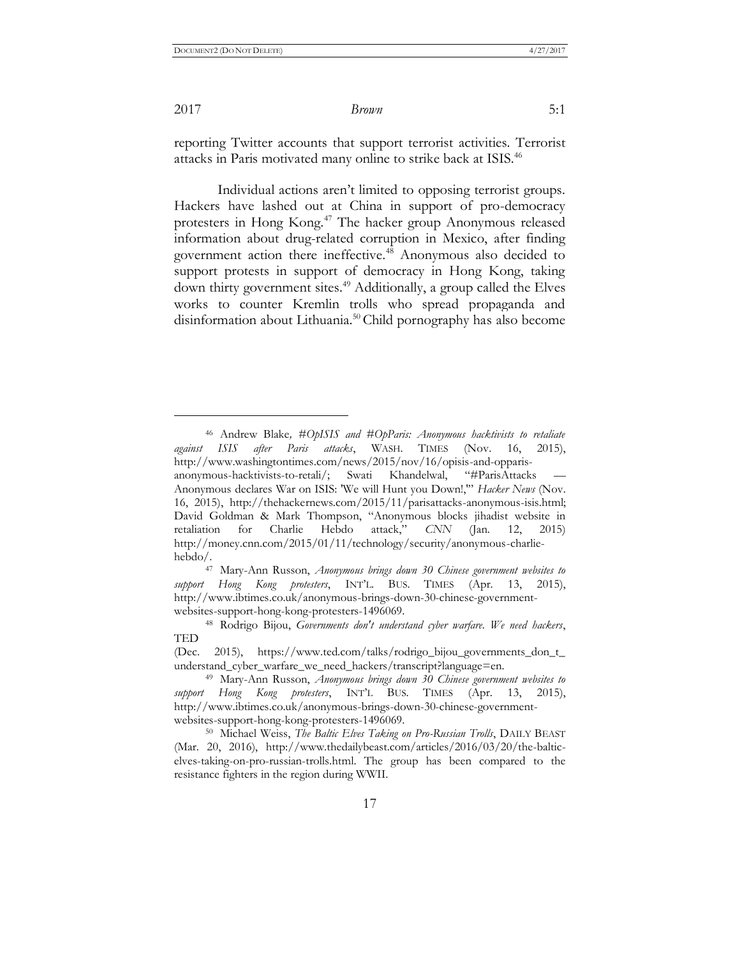2017 *Brown* 5:1

reporting Twitter accounts that support terrorist activities. Terrorist attacks in Paris motivated many online to strike back at ISIS.<sup>46</sup>

Individual actions aren't limited to opposing terrorist groups. Hackers have lashed out at China in support of pro-democracy protesters in Hong Kong.<sup>47</sup> The hacker group Anonymous released information about drug-related corruption in Mexico, after finding government action there ineffective.<sup>48</sup> Anonymous also decided to support protests in support of democracy in Hong Kong, taking down thirty government sites.<sup>49</sup> Additionally, a group called the Elves works to counter Kremlin trolls who spread propaganda and disinformation about Lithuania.<sup>50</sup> Child pornography has also become

<sup>46</sup> Andrew Blake*, #OpISIS and #OpParis: Anonymous hacktivists to retaliate against ISIS after Paris attacks*, WASH. TIMES (Nov. 16, 2015), http://www.washingtontimes.com/news/2015/nov/16/opisis-and-opparisanonymous-hacktivists-to-retali/; Swati Khandelwal, "#ParisAttacks"

Anonymous declares War on ISIS: 'We will Hunt you Down!,'" *Hacker News* (Nov. 16, 2015), http://thehackernews.com/2015/11/parisattacks-anonymous-isis.html; David Goldman & Mark Thompson, "Anonymous blocks jihadist website in retaliation for Charlie Hebdo attack," *CNN* (Jan. 12, 2015) http://money.cnn.com/2015/01/11/technology/security/anonymous-charliehebdo/.

<sup>47</sup> Mary-Ann Russon, *Anonymous brings down 30 Chinese government websites to support Hong Kong protesters*, INT'L. BUS. TIMES (Apr. 13, 2015), http://www.ibtimes.co.uk/anonymous-brings-down-30-chinese-governmentwebsites-support-hong-kong-protesters-1496069.

<sup>48</sup> Rodrigo Bijou, *Governments don't understand cyber warfare. We need hackers*, TED

<sup>(</sup>Dec. 2015), https://www.ted.com/talks/rodrigo\_bijou\_governments\_don\_t\_ understand\_cyber\_warfare\_we\_need\_hackers/transcript?language=en.

<sup>49</sup> Mary-Ann Russon, *Anonymous brings down 30 Chinese government websites to support Hong Kong protesters*, INT'L BUS. TIMES (Apr. 13, 2015), http://www.ibtimes.co.uk/anonymous-brings-down-30-chinese-governmentwebsites-support-hong-kong-protesters-1496069.

<sup>50</sup> Michael Weiss, *The Baltic Elves Taking on Pro-Russian Trolls*, DAILY BEAST (Mar. 20, 2016), http://www.thedailybeast.com/articles/2016/03/20/the-balticelves-taking-on-pro-russian-trolls.html. The group has been compared to the resistance fighters in the region during WWII.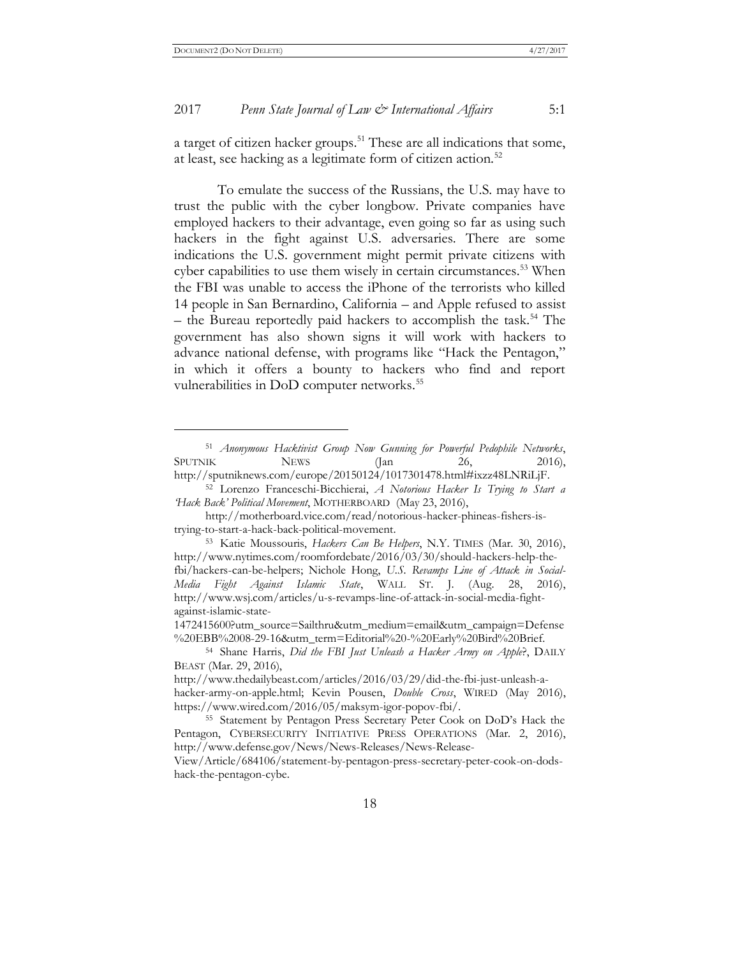#### 2017 *Penn State Journal of Law & International Affairs* 5:1

a target of citizen hacker groups.<sup>51</sup> These are all indications that some, at least, see hacking as a legitimate form of citizen action.<sup>52</sup>

To emulate the success of the Russians, the U.S. may have to trust the public with the cyber longbow. Private companies have employed hackers to their advantage, even going so far as using such hackers in the fight against U.S. adversaries. There are some indications the U.S. government might permit private citizens with cyber capabilities to use them wisely in certain circumstances.<sup>53</sup> When the FBI was unable to access the iPhone of the terrorists who killed 14 people in San Bernardino, California – and Apple refused to assist – the Bureau reportedly paid hackers to accomplish the task.<sup>54</sup> The government has also shown signs it will work with hackers to advance national defense, with programs like "Hack the Pentagon," in which it offers a bounty to hackers who find and report vulnerabilities in DoD computer networks.<sup>55</sup>

<sup>51</sup> *Anonymous Hacktivist Group Now Gunning for Powerful Pedophile Networks*, SPUTNIK NEWS (Jan 26, 2016), http://sputniknews.com/europe/20150124/1017301478.html#ixzz48LNRiLjF.

<sup>52</sup> Lorenzo Franceschi-Bicchierai, *A Notorious Hacker Is Trying to Start a 'Hack Back' Political Movement*, MOTHERBOARD (May 23, 2016),

http://motherboard.vice.com/read/notorious-hacker-phineas-fishers-istrying-to-start-a-hack-back-political-movement.

<sup>53</sup> Katie Moussouris, *Hackers Can Be Helpers*, N.Y. TIMES (Mar. 30, 2016), http://www.nytimes.com/roomfordebate/2016/03/30/should-hackers-help-thefbi/hackers-can-be-helpers; Nichole Hong, *U.S. Revamps Line of Attack in Social-Media Fight Against Islamic State*, WALL ST. J. (Aug. 28, 2016), http://www.wsj.com/articles/u-s-revamps-line-of-attack-in-social-media-fightagainst-islamic-state-

<sup>1472415600?</sup>utm\_source=Sailthru&utm\_medium=email&utm\_campaign=Defense %20EBB%2008-29-16&utm\_term=Editorial%20-%20Early%20Bird%20Brief.

<sup>54</sup> Shane Harris, *Did the FBI Just Unleash a Hacker Army on Apple*?, DAILY BEAST (Mar. 29, 2016),

http://www.thedailybeast.com/articles/2016/03/29/did-the-fbi-just-unleash-ahacker-army-on-apple.html; Kevin Pousen, *Double Cross*, WIRED (May 2016), https://www.wired.com/2016/05/maksym-igor-popov-fbi/.

<sup>55</sup> Statement by Pentagon Press Secretary Peter Cook on DoD's Hack the Pentagon, CYBERSECURITY INITIATIVE PRESS OPERATIONS (Mar. 2, 2016), http://www.defense.gov/News/News-Releases/News-Release-

View/Article/684106/statement-by-pentagon-press-secretary-peter-cook-on-dodshack-the-pentagon-cybe.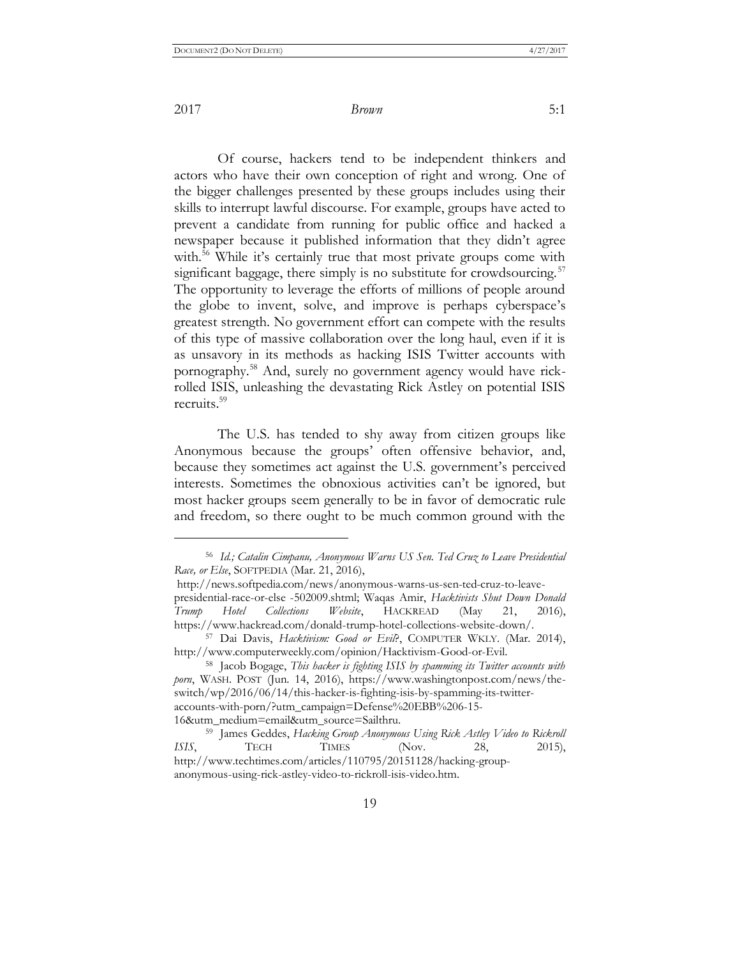$\overline{a}$ 

Of course, hackers tend to be independent thinkers and actors who have their own conception of right and wrong. One of the bigger challenges presented by these groups includes using their skills to interrupt lawful discourse. For example, groups have acted to prevent a candidate from running for public office and hacked a newspaper because it published information that they didn't agree with.<sup>56</sup> While it's certainly true that most private groups come with significant baggage, there simply is no substitute for crowdsourcing. $57$ The opportunity to leverage the efforts of millions of people around the globe to invent, solve, and improve is perhaps cyberspace's greatest strength. No government effort can compete with the results of this type of massive collaboration over the long haul, even if it is as unsavory in its methods as hacking ISIS Twitter accounts with pornography.<sup>58</sup> And, surely no government agency would have rickrolled ISIS, unleashing the devastating Rick Astley on potential ISIS recruits.<sup>59</sup>

The U.S. has tended to shy away from citizen groups like Anonymous because the groups' often offensive behavior, and, because they sometimes act against the U.S. government's perceived interests. Sometimes the obnoxious activities can't be ignored, but most hacker groups seem generally to be in favor of democratic rule and freedom, so there ought to be much common ground with the

<sup>56</sup> *Id.; Catalin Cimpanu, Anonymous Warns US Sen. Ted Cruz to Leave Presidential Race, or Else*, SOFTPEDIA (Mar. 21, 2016),

http://news.softpedia.com/news/anonymous-warns-us-sen-ted-cruz-to-leavepresidential-race-or-else -502009.shtml; Waqas Amir, *Hacktivists Shut Down Donald Trump Hotel Collections Website*, HACKREAD (May 21, 2016), https://www.hackread.com/donald-trump-hotel-collections-website-down/.

<sup>57</sup> Dai Davis, *Hacktivism: Good or Evil*?, COMPUTER WKLY. (Mar. 2014), http://www.computerweekly.com/opinion/Hacktivism-Good-or-Evil.

<sup>58</sup> Jacob Bogage, *This hacker is fighting ISIS by spamming its Twitter accounts with porn*, WASH. POST (Jun. 14, 2016), https://www.washingtonpost.com/news/theswitch/wp/2016/06/14/this-hacker-is-fighting-isis-by-spamming-its-twitteraccounts-with-porn/?utm\_campaign=Defense%20EBB%206-15- 16&utm\_medium=email&utm\_source=Sailthru.

<sup>59</sup> James Geddes, *Hacking Group Anonymous Using Rick Astley Video to Rickroll ISIS*, **TECH TIMES** (Nov. 28, 2015), http://www.techtimes.com/articles/110795/20151128/hacking-groupanonymous-using-rick-astley-video-to-rickroll-isis-video.htm.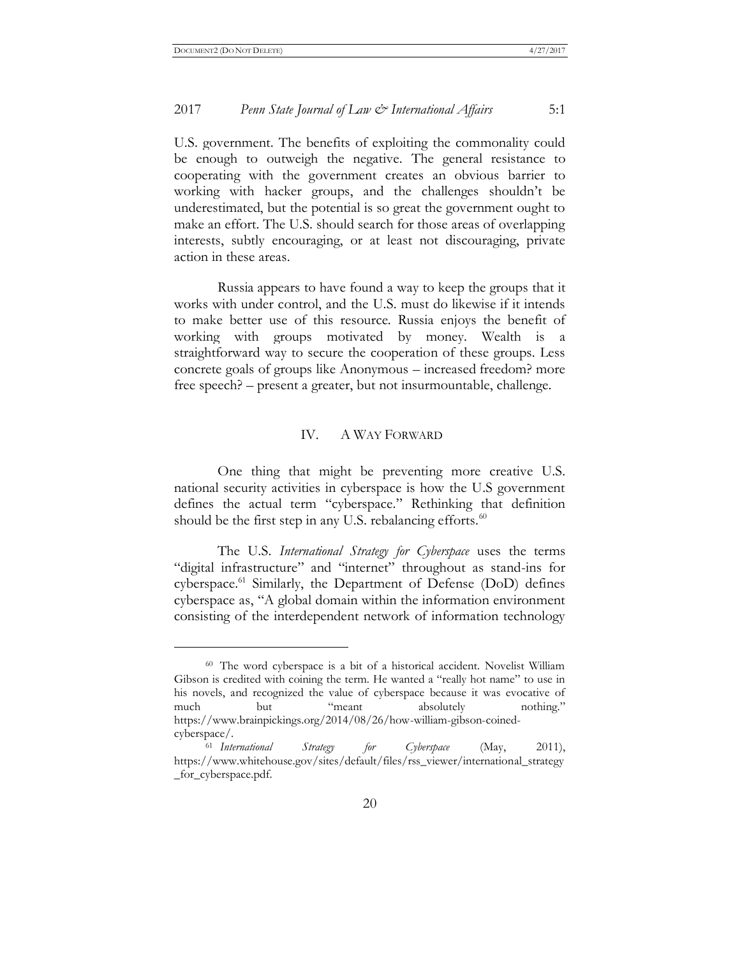#### 2017 *Penn State Journal of Law & International Affairs* 5:1

U.S. government. The benefits of exploiting the commonality could be enough to outweigh the negative. The general resistance to cooperating with the government creates an obvious barrier to working with hacker groups, and the challenges shouldn't be underestimated, but the potential is so great the government ought to make an effort. The U.S. should search for those areas of overlapping interests, subtly encouraging, or at least not discouraging, private action in these areas.

Russia appears to have found a way to keep the groups that it works with under control, and the U.S. must do likewise if it intends to make better use of this resource. Russia enjoys the benefit of working with groups motivated by money. Wealth is a straightforward way to secure the cooperation of these groups. Less concrete goals of groups like Anonymous – increased freedom? more free speech? – present a greater, but not insurmountable, challenge.

#### IV. A WAY FORWARD

One thing that might be preventing more creative U.S. national security activities in cyberspace is how the U.S government defines the actual term "cyberspace." Rethinking that definition should be the first step in any U.S. rebalancing efforts. $60$ 

The U.S. *International Strategy for Cyberspace* uses the terms "digital infrastructure" and "internet" throughout as stand-ins for cyberspace.<sup>61</sup> Similarly, the Department of Defense (DoD) defines cyberspace as, "A global domain within the information environment consisting of the interdependent network of information technology

<sup>60</sup> The word cyberspace is a bit of a historical accident. Novelist William Gibson is credited with coining the term. He wanted a "really hot name" to use in his novels, and recognized the value of cyberspace because it was evocative of much but "meant absolutely nothing." https://www.brainpickings.org/2014/08/26/how-william-gibson-coinedcyberspace/.

<sup>61</sup> *International Strategy for Cyberspace* (May, 2011), https://www.whitehouse.gov/sites/default/files/rss\_viewer/international\_strategy \_for\_cyberspace.pdf.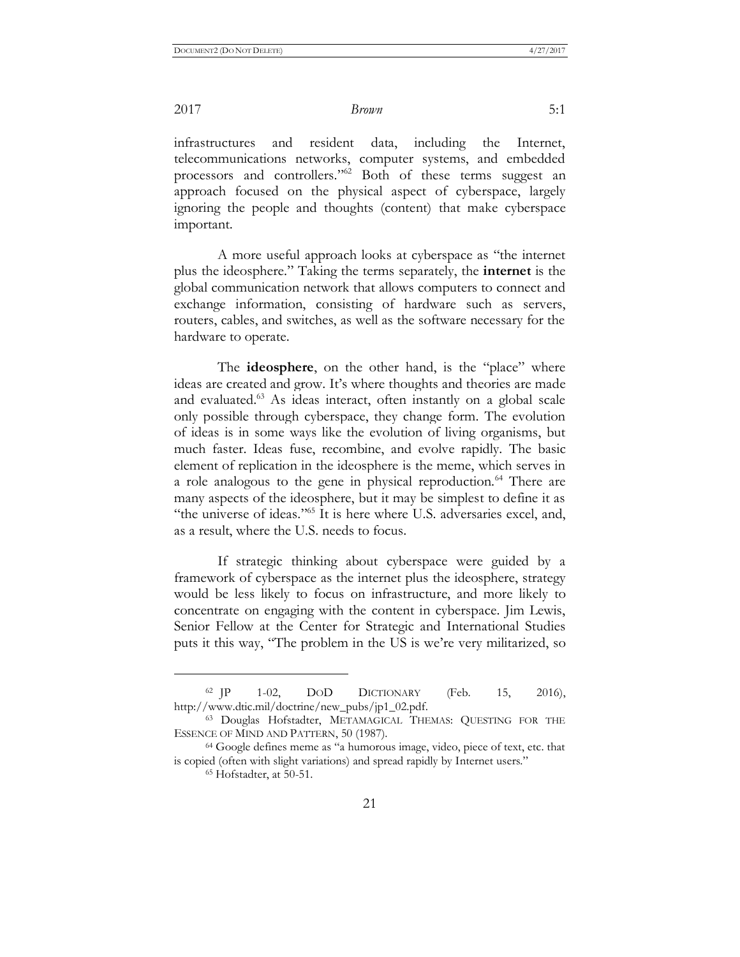infrastructures and resident data, including the Internet, telecommunications networks, computer systems, and embedded processors and controllers."<sup>62</sup> Both of these terms suggest an approach focused on the physical aspect of cyberspace, largely ignoring the people and thoughts (content) that make cyberspace important.

A more useful approach looks at cyberspace as "the internet plus the ideosphere." Taking the terms separately, the **internet** is the global communication network that allows computers to connect and exchange information, consisting of hardware such as servers, routers, cables, and switches, as well as the software necessary for the hardware to operate.

The **ideosphere**, on the other hand, is the "place" where ideas are created and grow. It's where thoughts and theories are made and evaluated.<sup>63</sup> As ideas interact, often instantly on a global scale only possible through cyberspace, they change form. The evolution of ideas is in some ways like the evolution of living organisms, but much faster. Ideas fuse, recombine, and evolve rapidly. The basic element of replication in the ideosphere is the meme, which serves in a role analogous to the gene in physical reproduction.<sup>64</sup> There are many aspects of the ideosphere, but it may be simplest to define it as "the universe of ideas."<sup>65</sup> It is here where U.S. adversaries excel, and, as a result, where the U.S. needs to focus.

If strategic thinking about cyberspace were guided by a framework of cyberspace as the internet plus the ideosphere, strategy would be less likely to focus on infrastructure, and more likely to concentrate on engaging with the content in cyberspace. Jim Lewis, Senior Fellow at the Center for Strategic and International Studies puts it this way, "The problem in the US is we're very militarized, so

 $\overline{a}$ 

 $62$  JP 1-02, DOD DICTIONARY (Feb. 15, 2016), http://www.dtic.mil/doctrine/new\_pubs/jp1\_02.pdf.

<sup>63</sup> Douglas Hofstadter, METAMAGICAL THEMAS: QUESTING FOR THE ESSENCE OF MIND AND PATTERN, 50 (1987).

<sup>64</sup> Google defines meme as "a humorous image, video, piece of text, etc. that is copied (often with slight variations) and spread rapidly by Internet users."

<sup>65</sup> Hofstadter, at 50-51.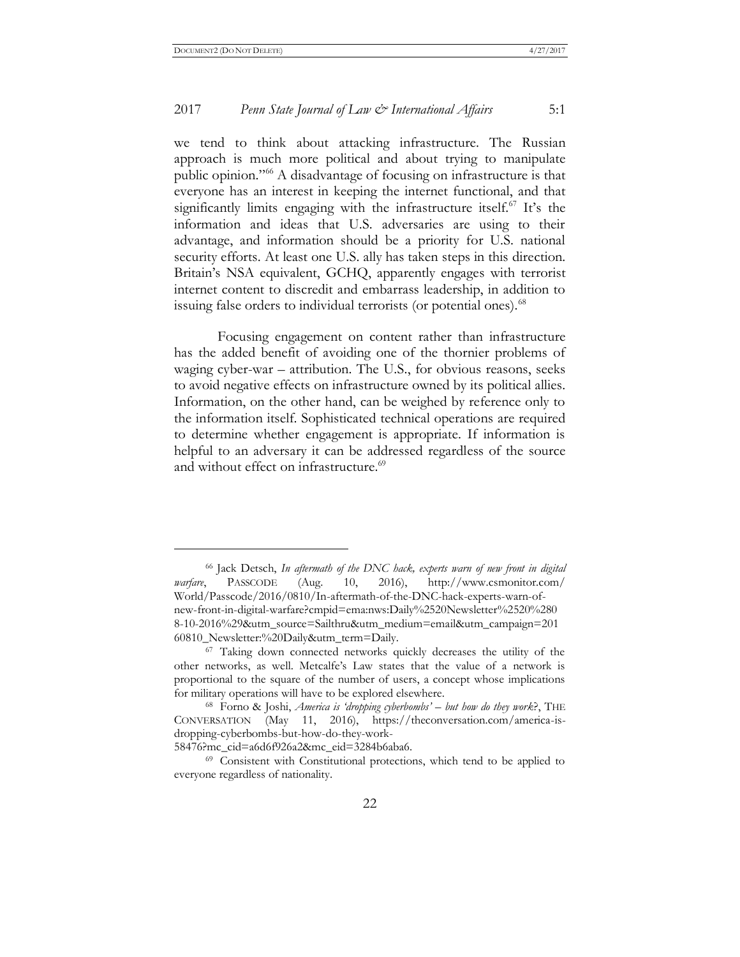#### 2017 *Penn State Journal of Law & International Affairs* 5:1

we tend to think about attacking infrastructure. The Russian approach is much more political and about trying to manipulate public opinion." <sup>66</sup> A disadvantage of focusing on infrastructure is that everyone has an interest in keeping the internet functional, and that significantly limits engaging with the infrastructure itself.<sup>67</sup> It's the information and ideas that U.S. adversaries are using to their advantage, and information should be a priority for U.S. national security efforts. At least one U.S. ally has taken steps in this direction. Britain's NSA equivalent, GCHQ, apparently engages with terrorist internet content to discredit and embarrass leadership, in addition to issuing false orders to individual terrorists (or potential ones).<sup>68</sup>

Focusing engagement on content rather than infrastructure has the added benefit of avoiding one of the thornier problems of waging cyber-war – attribution. The U.S., for obvious reasons, seeks to avoid negative effects on infrastructure owned by its political allies. Information, on the other hand, can be weighed by reference only to the information itself. Sophisticated technical operations are required to determine whether engagement is appropriate. If information is helpful to an adversary it can be addressed regardless of the source and without effect on infrastructure.<sup>69</sup>

58476?mc\_cid=a6d6f926a2&mc\_eid=3284b6aba6.

<sup>66</sup> Jack Detsch, *In aftermath of the DNC hack, experts warn of new front in digital warfare*, PASSCODE (Aug. 10, 2016), http://www.csmonitor.com/ World/Passcode/2016/0810/In-aftermath-of-the-DNC-hack-experts-warn-ofnew-front-in-digital-warfare?cmpid=ema:nws:Daily%2520Newsletter%2520%280 8-10-2016%29&utm\_source=Sailthru&utm\_medium=email&utm\_campaign=201 60810\_Newsletter:%20Daily&utm\_term=Daily.

<sup>67</sup> Taking down connected networks quickly decreases the utility of the other networks, as well. Metcalfe's Law states that the value of a network is proportional to the square of the number of users, a concept whose implications for military operations will have to be explored elsewhere.

<sup>68</sup> Forno & Joshi, *America is 'dropping cyberbombs' – but how do they work*?, THE CONVERSATION (May 11, 2016), https://theconversation.com/america-isdropping-cyberbombs-but-how-do-they-work-

<sup>69</sup> Consistent with Constitutional protections, which tend to be applied to everyone regardless of nationality.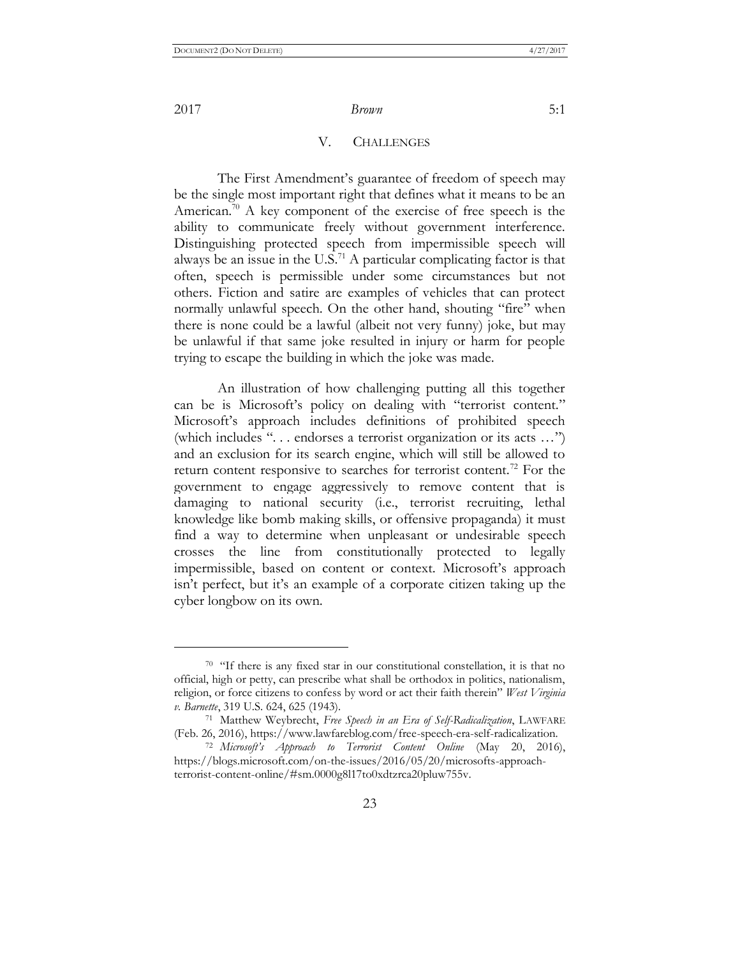$\overline{a}$ 

#### V. CHALLENGES

The First Amendment's guarantee of freedom of speech may be the single most important right that defines what it means to be an American.<sup>70</sup> A key component of the exercise of free speech is the ability to communicate freely without government interference. Distinguishing protected speech from impermissible speech will always be an issue in the  $U.S.^{71}$  A particular complicating factor is that often, speech is permissible under some circumstances but not others. Fiction and satire are examples of vehicles that can protect normally unlawful speech. On the other hand, shouting "fire" when there is none could be a lawful (albeit not very funny) joke, but may be unlawful if that same joke resulted in injury or harm for people trying to escape the building in which the joke was made.

An illustration of how challenging putting all this together can be is Microsoft's policy on dealing with "terrorist content." Microsoft's approach includes definitions of prohibited speech (which includes ". . . endorses a terrorist organization or its acts …") and an exclusion for its search engine, which will still be allowed to return content responsive to searches for terrorist content.<sup>72</sup> For the government to engage aggressively to remove content that is damaging to national security (i.e., terrorist recruiting, lethal knowledge like bomb making skills, or offensive propaganda) it must find a way to determine when unpleasant or undesirable speech crosses the line from constitutionally protected to legally impermissible, based on content or context. Microsoft's approach isn't perfect, but it's an example of a corporate citizen taking up the cyber longbow on its own.

<sup>70</sup> "If there is any fixed star in our constitutional constellation, it is that no official, high or petty, can prescribe what shall be orthodox in politics, nationalism, religion, or force citizens to confess by word or act their faith therein" *West Virginia v. Barnette*, 319 U.S. 624, 625 (1943).

<sup>71</sup> Matthew Weybrecht, *Free Speech in an Era of Self-Radicalization*, LAWFARE (Feb. 26, 2016), https://www.lawfareblog.com/free-speech-era-self-radicalization.

<sup>72</sup> *Microsoft's Approach to Terrorist Content Online* (May 20, 2016), https://blogs.microsoft.com/on-the-issues/2016/05/20/microsofts-approachterrorist-content-online/#sm.0000g8l17to0xdtzrca20pluw755v.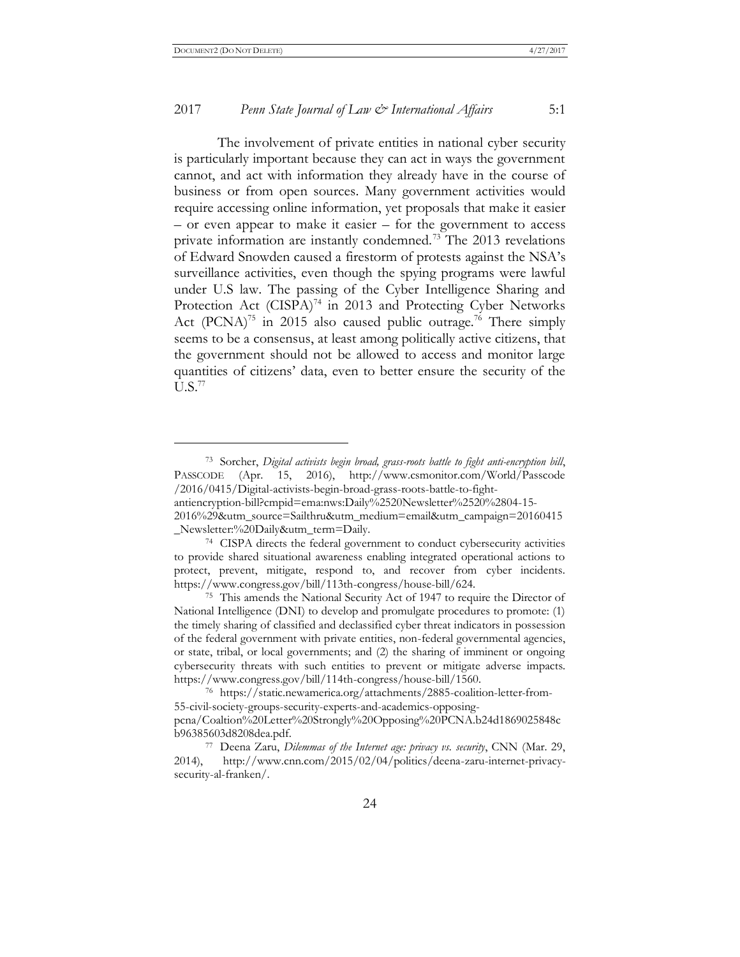#### 2017 *Penn State Journal of Law & International Affairs* 5:1

The involvement of private entities in national cyber security is particularly important because they can act in ways the government cannot, and act with information they already have in the course of business or from open sources. Many government activities would require accessing online information, yet proposals that make it easier – or even appear to make it easier – for the government to access private information are instantly condemned.<sup>73</sup> The 2013 revelations of Edward Snowden caused a firestorm of protests against the NSA's surveillance activities, even though the spying programs were lawful under U.S law. The passing of the Cyber Intelligence Sharing and Protection Act (CISPA)<sup>74</sup> in 2013 and Protecting Cyber Networks Act (PCNA)<sup>75</sup> in 2015 also caused public outrage.<sup>76</sup> There simply seems to be a consensus, at least among politically active citizens, that the government should not be allowed to access and monitor large quantities of citizens' data, even to better ensure the security of the  $U.S.<sup>77</sup>$ 

<sup>73</sup> Sorcher, *Digital activists begin broad, grass-roots battle to fight anti-encryption bill*, PASSCODE (Apr. 15, 2016), http://www.csmonitor.com/World/Passcode /2016/0415/Digital-activists-begin-broad-grass-roots-battle-to-fight-

antiencryption-bill?cmpid=ema:nws:Daily%2520Newsletter%2520%2804-15-

<sup>2016%29&</sup>amp;utm\_source=Sailthru&utm\_medium=email&utm\_campaign=20160415 \_Newsletter:%20Daily&utm\_term=Daily.

<sup>74</sup> CISPA directs the federal government to conduct cybersecurity activities to provide shared situational awareness enabling integrated operational actions to protect, prevent, mitigate, respond to, and recover from cyber incidents. https://www.congress.gov/bill/113th-congress/house-bill/624.

<sup>75</sup> This amends the National Security Act of 1947 to require the Director of National Intelligence (DNI) to develop and promulgate procedures to promote: (1) the timely sharing of classified and declassified cyber threat indicators in possession of the federal government with private entities, non-federal governmental agencies, or state, tribal, or local governments; and (2) the sharing of imminent or ongoing cybersecurity threats with such entities to prevent or mitigate adverse impacts. https://www.congress.gov/bill/114th-congress/house-bill/1560.

<sup>76</sup> https://static.newamerica.org/attachments/2885-coalition-letter-from-55-civil-society-groups-security-experts-and-academics-opposingpcna/Coaltion%20Letter%20Strongly%20Opposing%20PCNA.b24d1869025848c b96385603d8208dea.pdf.

<sup>77</sup> Deena Zaru, *Dilemmas of the Internet age: privacy vs. security*, CNN (Mar. 29, 2014), http://www.cnn.com/2015/02/04/politics/deena-zaru-internet-privacysecurity-al-franken/.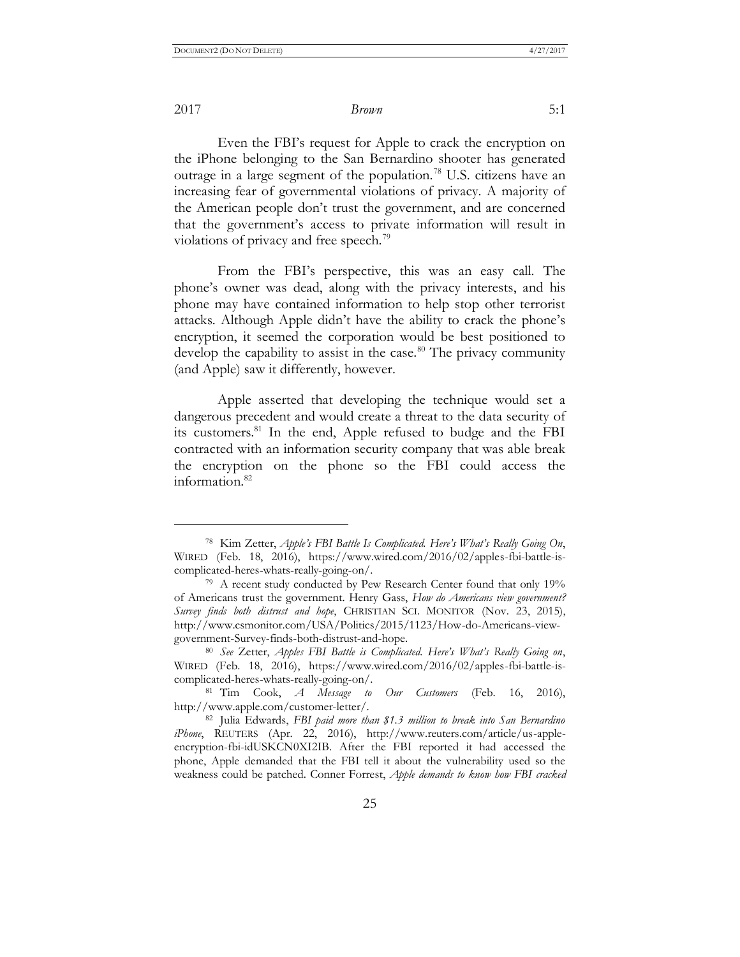2017 *Brown* 5:1

Even the FBI's request for Apple to crack the encryption on the iPhone belonging to the San Bernardino shooter has generated outrage in a large segment of the population.<sup>78</sup> U.S. citizens have an increasing fear of governmental violations of privacy. A majority of the American people don't trust the government, and are concerned that the government's access to private information will result in violations of privacy and free speech.<sup>79</sup>

From the FBI's perspective, this was an easy call. The phone's owner was dead, along with the privacy interests, and his phone may have contained information to help stop other terrorist attacks. Although Apple didn't have the ability to crack the phone's encryption, it seemed the corporation would be best positioned to develop the capability to assist in the case.<sup>80</sup> The privacy community (and Apple) saw it differently, however.

Apple asserted that developing the technique would set a dangerous precedent and would create a threat to the data security of its customers.<sup>81</sup> In the end, Apple refused to budge and the FBI contracted with an information security company that was able break the encryption on the phone so the FBI could access the information.<sup>82</sup>

<sup>78</sup> Kim Zetter, *Apple's FBI Battle Is Complicated. Here's What's Really Going On*, WIRED (Feb. 18, 2016), https://www.wired.com/2016/02/apples-fbi-battle-iscomplicated-heres-whats-really-going-on/.

<sup>&</sup>lt;sup>79</sup> A recent study conducted by Pew Research Center found that only 19% of Americans trust the government. Henry Gass, *How do Americans view government? Survey finds both distrust and hope*, CHRISTIAN SCI. MONITOR (Nov. 23, 2015), http://www.csmonitor.com/USA/Politics/2015/1123/How-do-Americans-viewgovernment-Survey-finds-both-distrust-and-hope.

<sup>80</sup> *See* Zetter, *Apples FBI Battle is Complicated. Here's What's Really Going on*, WIRED (Feb. 18, 2016), https://www.wired.com/2016/02/apples-fbi-battle-iscomplicated-heres-whats-really-going-on/.

<sup>81</sup> Tim Cook, *A Message to Our Customers* (Feb. 16, 2016), http://www.apple.com/customer-letter/.

<sup>82</sup> Julia Edwards, *FBI paid more than \$1.3 million to break into San Bernardino iPhone*, REUTERS (Apr. 22, 2016), http://www.reuters.com/article/us-appleencryption-fbi-idUSKCN0XI2IB. After the FBI reported it had accessed the phone, Apple demanded that the FBI tell it about the vulnerability used so the weakness could be patched. Conner Forrest, *Apple demands to know how FBI cracked*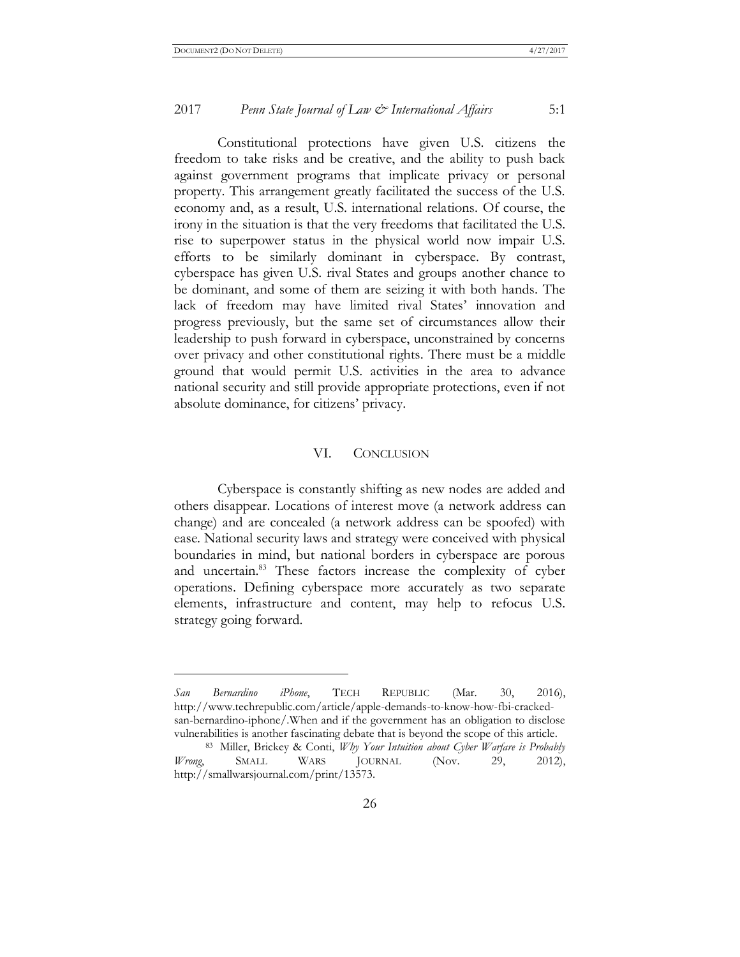#### 2017 *Penn State Journal of Law & International Affairs* 5:1

Constitutional protections have given U.S. citizens the freedom to take risks and be creative, and the ability to push back against government programs that implicate privacy or personal property. This arrangement greatly facilitated the success of the U.S. economy and, as a result, U.S. international relations. Of course, the irony in the situation is that the very freedoms that facilitated the U.S. rise to superpower status in the physical world now impair U.S. efforts to be similarly dominant in cyberspace. By contrast, cyberspace has given U.S. rival States and groups another chance to be dominant, and some of them are seizing it with both hands. The lack of freedom may have limited rival States' innovation and progress previously, but the same set of circumstances allow their leadership to push forward in cyberspace, unconstrained by concerns over privacy and other constitutional rights. There must be a middle ground that would permit U.S. activities in the area to advance national security and still provide appropriate protections, even if not absolute dominance, for citizens' privacy.

#### VI. CONCLUSION

Cyberspace is constantly shifting as new nodes are added and others disappear. [Locations of interest](http://en.wikipedia.org/wiki/Military_grid_reference_system) move (a network address can change) and are concealed (a network address can be spoofed) with ease. National security laws and strategy were conceived with physical boundaries in mind, but national borders in cyberspace are porous and uncertain.<sup>83</sup> These factors increase the complexity of cyber operations. Defining cyberspace more accurately as two separate elements, infrastructure and content, may help to refocus U.S. strategy going forward.

*San Bernardino iPhone*, TECH REPUBLIC (Mar. 30, 2016), http://www.techrepublic.com/article/apple-demands-to-know-how-fbi-crackedsan-bernardino-iphone/.When and if the government has an obligation to disclose vulnerabilities is another fascinating debate that is beyond the scope of this article.

<sup>83</sup> Miller, Brickey & Conti, *Why Your Intuition about Cyber Warfare is Probably Wrong*, SMALL WARS JOURNAL (Nov. 29, 2012), http://smallwarsjournal.com/print/13573.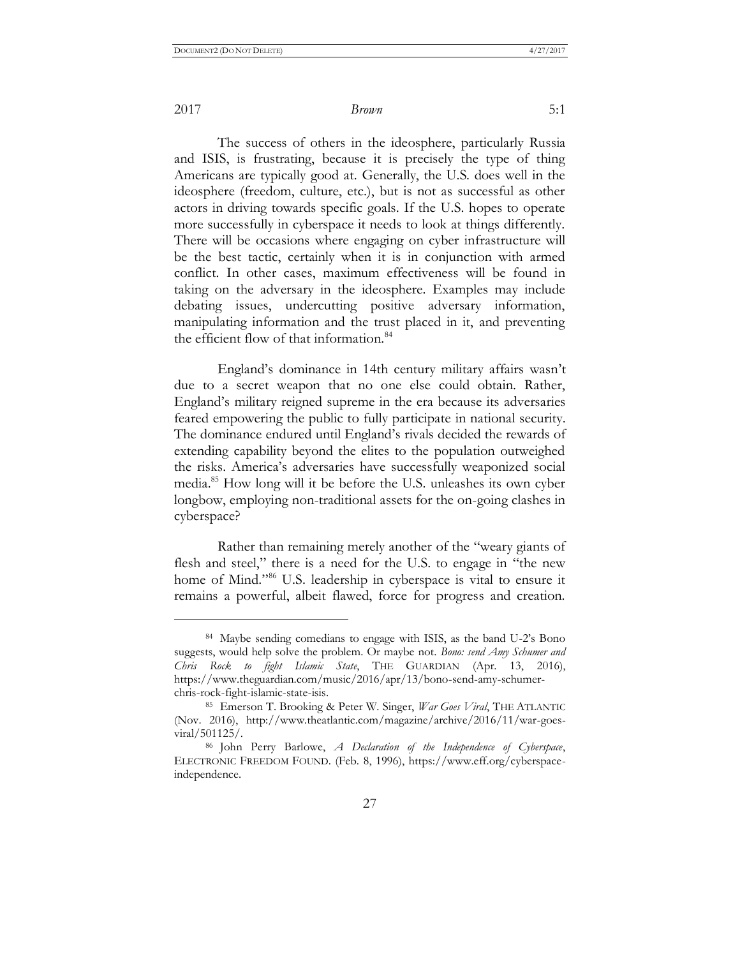2017 *Brown* 5:1

The success of others in the ideosphere, particularly Russia and ISIS, is frustrating, because it is precisely the type of thing Americans are typically good at. Generally, the U.S. does well in the ideosphere (freedom, culture, etc.), but is not as successful as other actors in driving towards specific goals. If the U.S. hopes to operate more successfully in cyberspace it needs to look at things differently. There will be occasions where engaging on cyber infrastructure will be the best tactic, certainly when it is in conjunction with armed conflict. In other cases, maximum effectiveness will be found in taking on the adversary in the ideosphere. Examples may include debating issues, undercutting positive adversary information, manipulating information and the trust placed in it, and preventing the efficient flow of that information.<sup>84</sup>

England's dominance in 14th century military affairs wasn't due to a secret weapon that no one else could obtain. Rather, England's military reigned supreme in the era because its adversaries feared empowering the public to fully participate in national security. The dominance endured until England's rivals decided the rewards of extending capability beyond the elites to the population outweighed the risks. America's adversaries have successfully weaponized social media.<sup>85</sup> How long will it be before the U.S. unleashes its own cyber longbow, employing non-traditional assets for the on-going clashes in cyberspace?

Rather than remaining merely another of the "weary giants of flesh and steel," there is a need for the U.S. to engage in "the new home of Mind." <sup>86</sup> U.S. leadership in cyberspace is vital to ensure it remains a powerful, albeit flawed, force for progress and creation.

<sup>84</sup> Maybe sending comedians to engage with ISIS, as the band U-2's Bono suggests, would help solve the problem. Or maybe not. *Bono: send Amy Schumer and Chris Rock to fight Islamic State*, THE GUARDIAN (Apr. 13, 2016), https://www.theguardian.com/music/2016/apr/13/bono-send-amy-schumerchris-rock-fight-islamic-state-isis.

<sup>85</sup> Emerson T. Brooking & Peter W. Singer, *War Goes Viral*, THE ATLANTIC (Nov. 2016), http://www.theatlantic.com/magazine/archive/2016/11/war-goesviral/501125/.

<sup>86</sup> John Perry Barlowe, *A Declaration of the Independence of Cyberspace*, ELECTRONIC FREEDOM FOUND. (Feb. 8, 1996), https://www.eff.org/cyberspaceindependence.